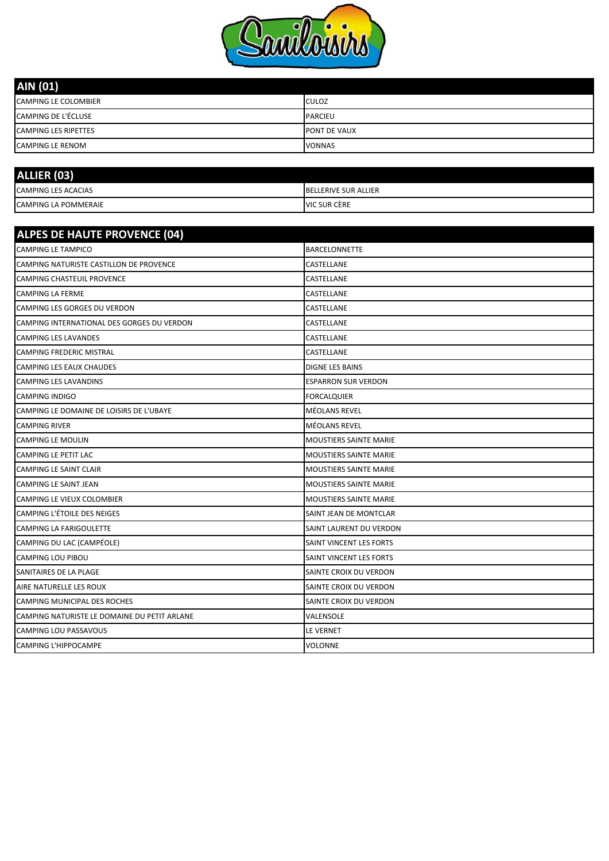

| AIN (01)                    |                     |
|-----------------------------|---------------------|
| <b>CAMPING LE COLOMBIER</b> | <b>CULOZ</b>        |
| <b>CAMPING DE L'ÉCLUSE</b>  | <b>PARCIEU</b>      |
| <b>CAMPING LES RIPETTES</b> | <b>PONT DE VAUX</b> |
| <b>CAMPING LE RENOM</b>     | <b>VONNAS</b>       |

| ALLIER (03)                 |                             |
|-----------------------------|-----------------------------|
| <b>CAMPING LES ACACIAS</b>  | <b>BELLERIVE SUR ALLIER</b> |
| <b>CAMPING LA POMMERAIE</b> | VIC SUR CÈRE                |

| <b>ALPES DE HAUTE PROVENCE (04)</b>          |                               |
|----------------------------------------------|-------------------------------|
| <b>CAMPING LE TAMPICO</b>                    | <b>BARCELONNETTE</b>          |
| CAMPING NATURISTE CASTILLON DE PROVENCE      | CASTELLANE                    |
| <b>CAMPING CHASTEUIL PROVENCE</b>            | CASTELLANE                    |
| <b>CAMPING LA FERME</b>                      | CASTELLANE                    |
| CAMPING LES GORGES DU VERDON                 | CASTELLANE                    |
| CAMPING INTERNATIONAL DES GORGES DU VERDON   | CASTELLANE                    |
| CAMPING LES LAVANDES                         | CASTELLANE                    |
| <b>CAMPING FREDERIC MISTRAL</b>              | CASTELLANE                    |
| <b>CAMPING LES EAUX CHAUDES</b>              | <b>DIGNE LES BAINS</b>        |
| CAMPING LES LAVANDINS                        | <b>ESPARRON SUR VERDON</b>    |
| <b>CAMPING INDIGO</b>                        | <b>FORCALQUIER</b>            |
| CAMPING LE DOMAINE DE LOISIRS DE L'UBAYE     | <b>MÉOLANS REVEL</b>          |
| <b>CAMPING RIVER</b>                         | MÉOLANS REVEL                 |
| <b>CAMPING LE MOULIN</b>                     | MOUSTIERS SAINTE MARIE        |
| CAMPING LE PETIT LAC                         | <b>MOUSTIERS SAINTE MARIE</b> |
| CAMPING LE SAINT CLAIR                       | <b>MOUSTIERS SAINTE MARIE</b> |
| CAMPING LE SAINT JEAN                        | <b>MOUSTIERS SAINTE MARIE</b> |
| CAMPING LE VIEUX COLOMBIER                   | <b>MOUSTIERS SAINTE MARIE</b> |
| CAMPING L'ÉTOILE DES NEIGES                  | SAINT JEAN DE MONTCLAR        |
| CAMPING LA FARIGOULETTE                      | SAINT LAURENT DU VERDON       |
| CAMPING DU LAC (CAMPÉOLE)                    | SAINT VINCENT LES FORTS       |
| CAMPING LOU PIBOU                            | SAINT VINCENT LES FORTS       |
| SANITAIRES DE LA PLAGE                       | SAINTE CROIX DU VERDON        |
| AIRE NATURELLE LES ROUX                      | SAINTE CROIX DU VERDON        |
| CAMPING MUNICIPAL DES ROCHES                 | SAINTE CROIX DU VERDON        |
| CAMPING NATURISTE LE DOMAINE DU PETIT ARLANE | VALENSOLE                     |
| CAMPING LOU PASSAVOUS                        | LE VERNET                     |
| CAMPING L'HIPPOCAMPE                         | VOLONNE                       |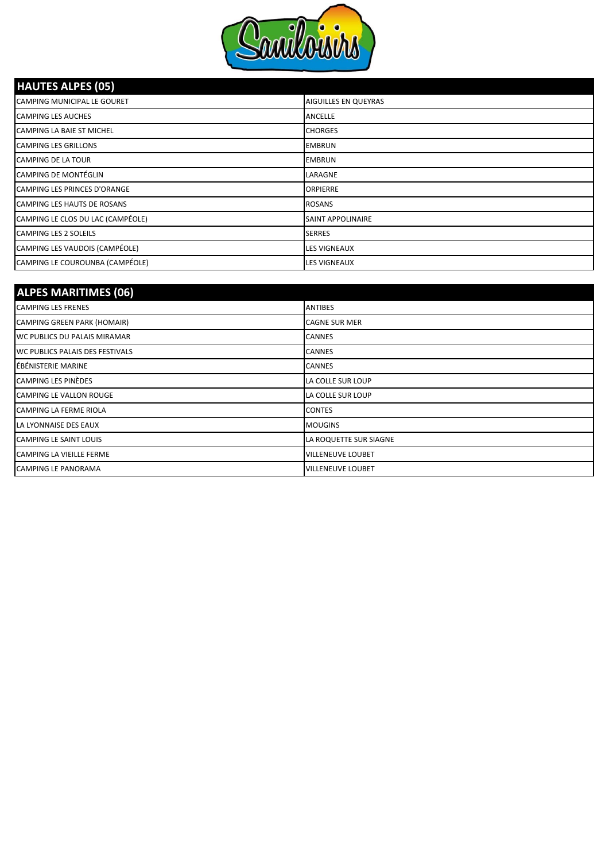

### **HAUTES ALPES (05)**

| CAMPING MUNICIPAL LE GOURET         | AIGUILLES EN QUEYRAS     |
|-------------------------------------|--------------------------|
| <b>CAMPING LES AUCHES</b>           | <b>ANCELLE</b>           |
| <b>CAMPING LA BAIE ST MICHEL</b>    | <b>CHORGES</b>           |
| <b>CAMPING LES GRILLONS</b>         | <b>EMBRUN</b>            |
| <b>CAMPING DE LA TOUR</b>           | <b>EMBRUN</b>            |
| <b>CAMPING DE MONTÉGLIN</b>         | LARAGNE                  |
| <b>CAMPING LES PRINCES D'ORANGE</b> | <b>ORPIERRE</b>          |
| <b>CAMPING LES HAUTS DE ROSANS</b>  | <b>ROSANS</b>            |
| CAMPING LE CLOS DU LAC (CAMPÉOLE)   | <b>SAINT APPOLINAIRE</b> |
| <b>CAMPING LES 2 SOLEILS</b>        | <b>SERRES</b>            |
| CAMPING LES VAUDOIS (CAMPÉOLE)      | <b>LES VIGNEAUX</b>      |
| CAMPING LE COUROUNBA (CAMPÉOLE)     | <b>LES VIGNEAUX</b>      |

| <b>ALPES MARITIMES (06)</b>         |                          |
|-------------------------------------|--------------------------|
| <b>CAMPING LES FRENES</b>           | <b>ANTIBES</b>           |
| CAMPING GREEN PARK (HOMAIR)         | <b>CAGNE SUR MER</b>     |
| <b>WC PUBLICS DU PALAIS MIRAMAR</b> | <b>CANNES</b>            |
| WC PUBLICS PALAIS DES FESTIVALS     | <b>CANNES</b>            |
| ÉBÉNISTERIE MARINE                  | <b>CANNES</b>            |
| <b>CAMPING LES PINÈDES</b>          | LA COLLE SUR LOUP        |
| CAMPING LE VALLON ROUGE             | LA COLLE SUR LOUP        |
| <b>CAMPING LA FERME RIOLA</b>       | <b>CONTES</b>            |
| LA LYONNAISE DES EAUX               | <b>MOUGINS</b>           |
| CAMPING LE SAINT LOUIS              | LA ROQUETTE SUR SIAGNE   |
| <b>CAMPING LA VIEILLE FERME</b>     | <b>VILLENEUVE LOUBET</b> |
| <b>CAMPING LE PANORAMA</b>          | <b>VILLENEUVE LOUBET</b> |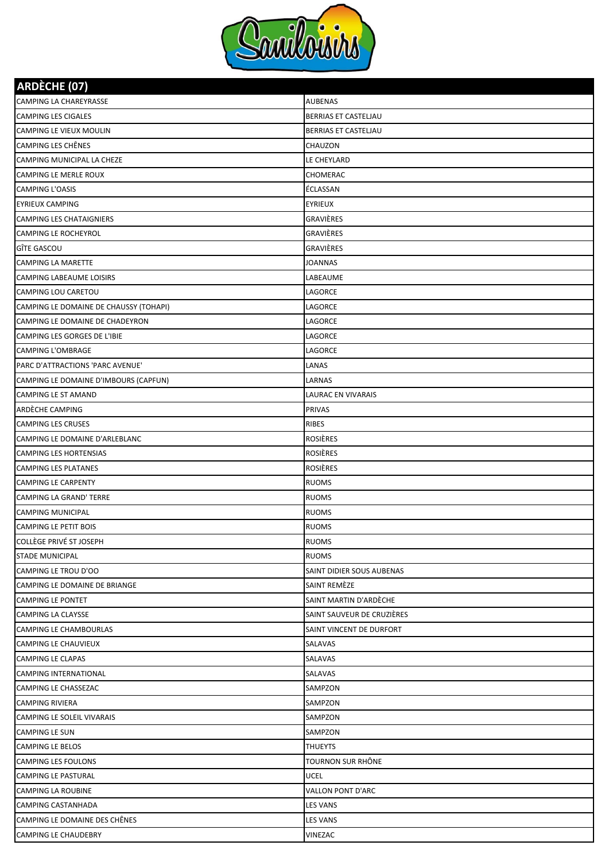

| <b>ARDÈCHE (07)</b>                    |                             |
|----------------------------------------|-----------------------------|
| CAMPING LA CHAREYRASSE                 | <b>AUBENAS</b>              |
| CAMPING LES CIGALES                    | <b>BERRIAS ET CASTELIAU</b> |
| CAMPING LE VIEUX MOULIN                | BERRIAS ET CASTELJAU        |
| CAMPING LES CHÊNES                     | <b>CHAUZON</b>              |
| CAMPING MUNICIPAL LA CHEZE             | LE CHEYLARD                 |
| CAMPING LE MERLE ROUX                  | CHOMERAC                    |
| <b>CAMPING L'OASIS</b>                 | ÉCLASSAN                    |
| <b>EYRIEUX CAMPING</b>                 | EYRIEUX                     |
| CAMPING LES CHATAIGNIERS               | <b>GRAVIÈRES</b>            |
| CAMPING LE ROCHEYROL                   | <b>GRAVIÈRES</b>            |
| GÎTE GASCOU                            | GRAVIÈRES                   |
| CAMPING LA MARETTE                     | <b>JOANNAS</b>              |
| CAMPING LABEAUME LOISIRS               | LABEAUME                    |
| CAMPING LOU CARETOU                    | LAGORCE                     |
| CAMPING LE DOMAINE DE CHAUSSY (TOHAPI) | LAGORCE                     |
| CAMPING LE DOMAINE DE CHADEYRON        | LAGORCE                     |
| CAMPING LES GORGES DE L'IBIE           | LAGORCE                     |
| CAMPING L'OMBRAGE                      | <b>LAGORCE</b>              |
| PARC D'ATTRACTIONS 'PARC AVENUE'       | LANAS                       |
| CAMPING LE DOMAINE D'IMBOURS (CAPFUN)  | LARNAS                      |
| CAMPING LE ST AMAND                    | LAURAC EN VIVARAIS          |
| ARDÈCHE CAMPING                        | <b>PRIVAS</b>               |
| <b>CAMPING LES CRUSES</b>              | <b>RIBES</b>                |
| CAMPING LE DOMAINE D'ARLEBLANC         | ROSIÈRES                    |
| CAMPING LES HORTENSIAS                 | <b>ROSIÈRES</b>             |
| CAMPING LES PLATANES                   | ROSIÈRES                    |
| <b>CAMPING LE CARPENTY</b>             | <b>RUOMS</b>                |
| <b>CAMPING LA GRAND' TERRE</b>         | <b>RUOMS</b>                |
| <b>CAMPING MUNICIPAL</b>               | <b>RUOMS</b>                |
| <b>CAMPING LE PETIT BOIS</b>           | <b>RUOMS</b>                |
| <b>COLLÈGE PRIVÉ ST JOSEPH</b>         | <b>RUOMS</b>                |
| <b>STADE MUNICIPAL</b>                 | <b>RUOMS</b>                |
| CAMPING LE TROU D'OO                   | SAINT DIDIER SOUS AUBENAS   |
| CAMPING LE DOMAINE DE BRIANGE          | SAINT REMÈZE                |
| CAMPING LE PONTET                      | SAINT MARTIN D'ARDÈCHE      |
| <b>CAMPING LA CLAYSSE</b>              | SAINT SAUVEUR DE CRUZIÈRES  |
| CAMPING LE CHAMBOURLAS                 | SAINT VINCENT DE DURFORT    |
| <b>CAMPING LE CHAUVIEUX</b>            | <b>SALAVAS</b>              |
| CAMPING LE CLAPAS                      | SALAVAS                     |
| <b>CAMPING INTERNATIONAL</b>           | SALAVAS                     |
| CAMPING LE CHASSEZAC                   | SAMPZON                     |
| <b>CAMPING RIVIERA</b>                 | SAMPZON                     |
| CAMPING LE SOLEIL VIVARAIS             | SAMPZON                     |
| CAMPING LE SUN                         | SAMPZON                     |
| CAMPING LE BELOS                       | <b>THUEYTS</b>              |
| <b>CAMPING LES FOULONS</b>             | TOURNON SUR RHÔNE           |
| <b>CAMPING LE PASTURAL</b>             | <b>UCEL</b>                 |
| <b>CAMPING LA ROUBINE</b>              | <b>VALLON PONT D'ARC</b>    |
| CAMPING CASTANHADA                     | <b>LES VANS</b>             |
| CAMPING LE DOMAINE DES CHÊNES          | <b>LES VANS</b>             |
| <b>CAMPING LE CHAUDEBRY</b>            | VINEZAC                     |
|                                        |                             |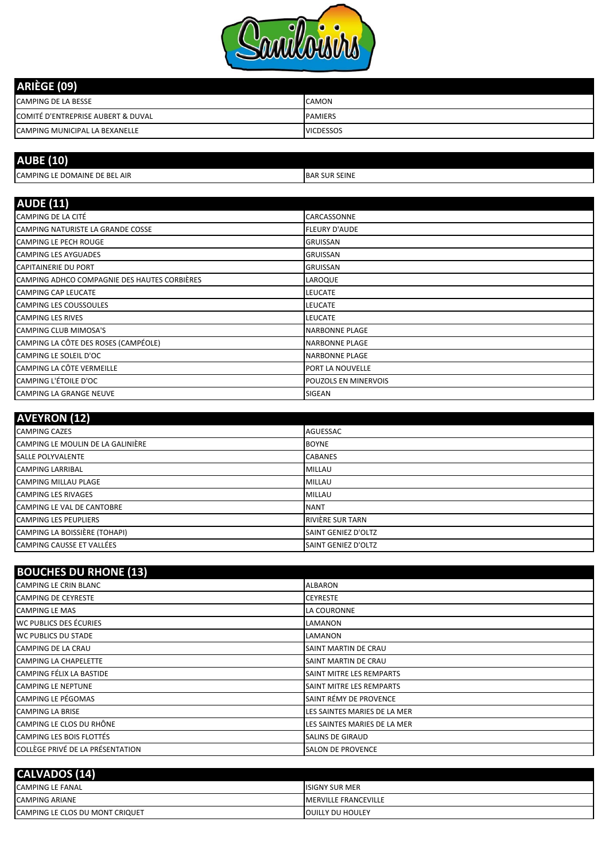

| ARIÈGE (09)                        |                  |
|------------------------------------|------------------|
| <b>CAMPING DE LA BESSE</b>         | <b>CAMON</b>     |
| COMITÉ D'ENTREPRISE AUBERT & DUVAL | <b>PAMIERS</b>   |
| CAMPING MUNICIPAL LA BEXANELLE     | <b>VICDESSOS</b> |

| .<br><b>AUI</b>                             |                      |
|---------------------------------------------|----------------------|
| PING LE DOMAINE DE BEL AIR<br><b>CAMPIN</b> | <b>BAR SUR SEINE</b> |

| <b>AUDE (11)</b>                             |                       |
|----------------------------------------------|-----------------------|
| CAMPING DE LA CITÉ                           | CARCASSONNE           |
| CAMPING NATURISTE LA GRANDE COSSE            | <b>FLEURY D'AUDE</b>  |
| <b>CAMPING LE PECH ROUGE</b>                 | <b>GRUISSAN</b>       |
| <b>CAMPING LES AYGUADES</b>                  | <b>GRUISSAN</b>       |
| <b>CAPITAINERIE DU PORT</b>                  | <b>GRUISSAN</b>       |
| CAMPING ADHCO COMPAGNIE DES HAUTES CORBIÈRES | <b>LAROQUE</b>        |
| <b>CAMPING CAP LEUCATE</b>                   | <b>LEUCATE</b>        |
| <b>CAMPING LES COUSSOULES</b>                | <b>LEUCATE</b>        |
| <b>CAMPING LES RIVES</b>                     | <b>LEUCATE</b>        |
| <b>CAMPING CLUB MIMOSA'S</b>                 | <b>NARBONNE PLAGE</b> |
| CAMPING LA CÔTE DES ROSES (CAMPÉOLE)         | <b>NARBONNE PLAGE</b> |
| CAMPING LE SOLEIL D'OC                       | <b>NARBONNE PLAGE</b> |
| CAMPING LA CÔTE VERMEILLE                    | PORT LA NOUVELLE      |
| CAMPING L'ÉTOILE D'OC                        | POUZOLS EN MINERVOIS  |
| <b>CAMPING LA GRANGE NEUVE</b>               | <b>SIGEAN</b>         |

| <b>AVEYRON (12)</b>               |                            |
|-----------------------------------|----------------------------|
| <b>CAMPING CAZES</b>              | <b>AGUESSAC</b>            |
| CAMPING LE MOULIN DE LA GALINIÈRE | <b>BOYNE</b>               |
| <b>SALLE POLYVALENTE</b>          | <b>CABANES</b>             |
| <b>CAMPING LARRIBAL</b>           | <b>MILLAU</b>              |
| <b>CAMPING MILLAU PLAGE</b>       | <b>MILLAU</b>              |
| <b>CAMPING LES RIVAGES</b>        | <b>MILLAU</b>              |
| <b>CAMPING LE VAL DE CANTOBRE</b> | <b>NANT</b>                |
| <b>CAMPING LES PEUPLIERS</b>      | <b>RIVIÈRE SUR TARN</b>    |
| CAMPING LA BOISSIÈRE (TOHAPI)     | <b>SAINT GENIEZ D'OLTZ</b> |
| CAMPING CAUSSE ET VALLÉES         | SAINT GENIEZ D'OLTZ        |

#### **BOUCHES DU RHONE (13)**

| $1000$ ches both none (19)       |                                 |
|----------------------------------|---------------------------------|
| <b>CAMPING LE CRIN BLANC</b>     | <b>ALBARON</b>                  |
| <b>CAMPING DE CEYRESTE</b>       | <b>CEYRESTE</b>                 |
| <b>CAMPING LE MAS</b>            | LA COURONNE                     |
| <b>WC PUBLICS DES ÉCURIES</b>    | <b>LAMANON</b>                  |
| <b>WC PUBLICS DU STADE</b>       | LAMANON                         |
| <b>CAMPING DE LA CRAU</b>        | SAINT MARTIN DE CRAU            |
| <b>CAMPING LA CHAPELETTE</b>     | SAINT MARTIN DE CRAU            |
| CAMPING FÉLIX LA BASTIDE         | SAINT MITRE LES REMPARTS        |
| <b>CAMPING LE NEPTUNE</b>        | <b>SAINT MITRE LES REMPARTS</b> |
| CAMPING LE PÉGOMAS               | SAINT RÉMY DE PROVENCE          |
| <b>CAMPING LA BRISE</b>          | LES SAINTES MARIES DE LA MER    |
| CAMPING LE CLOS DU RHÔNE         | LES SAINTES MARIES DE LA MER    |
| <b>CAMPING LES BOIS FLOTTÉS</b>  | <b>SALINS DE GIRAUD</b>         |
| COLLÈGE PRIVÉ DE LA PRÉSENTATION | <b>SALON DE PROVENCE</b>        |

| CALVADOS (14)                   |                              |
|---------------------------------|------------------------------|
| <b>CAMPING LE FANAL</b>         | <b>ISIGNY SUR MER</b>        |
| <b>CAMPING ARIANE</b>           | <b>IMERVILLE FRANCEVILLE</b> |
| CAMPING LE CLOS DU MONT CRIQUET | <b>OUILLY DU HOULEY</b>      |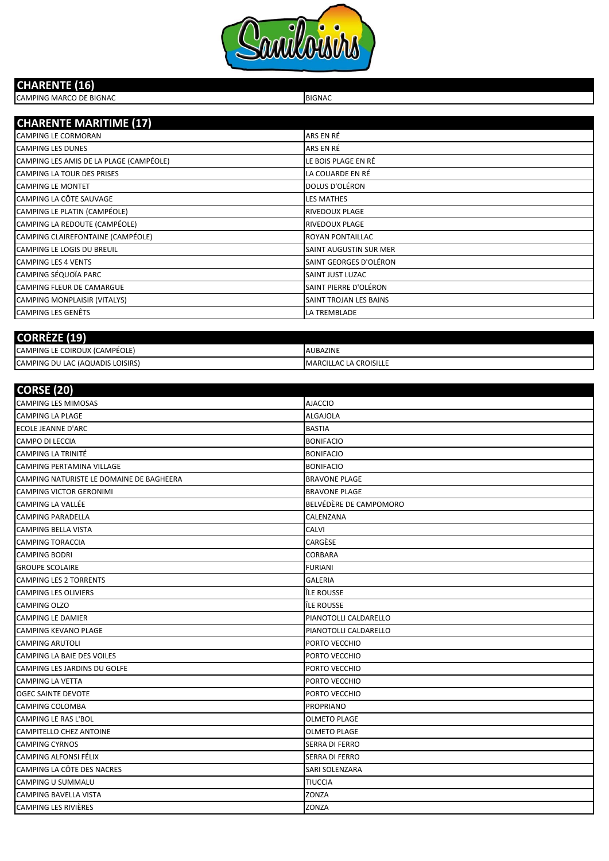

#### **CHARENTE (16)**

CAMPING MARCO DE BIGNAC **BIGNAC** BIGNAC **BIGNAC** 

| <b>CHARENTE MARITIME (17)</b>           |                         |
|-----------------------------------------|-------------------------|
| <b>CAMPING LE CORMORAN</b>              | ARS EN RÉ               |
| <b>CAMPING LES DUNES</b>                | ARS EN RÉ               |
| CAMPING LES AMIS DE LA PLAGE (CAMPÉOLE) | LE BOIS PLAGE EN RÉ     |
| <b>CAMPING LA TOUR DES PRISES</b>       | LA COUARDE EN RÉ        |
| <b>CAMPING LE MONTET</b>                | DOLUS D'OLÉRON          |
| CAMPING LA CÔTE SAUVAGE                 | <b>LES MATHES</b>       |
| CAMPING LE PLATIN (CAMPÉOLE)            | <b>RIVEDOUX PLAGE</b>   |
| CAMPING LA REDOUTE (CAMPÉOLE)           | <b>RIVEDOUX PLAGE</b>   |
| CAMPING CLAIREFONTAINE (CAMPÉOLE)       | <b>ROYAN PONTAILLAC</b> |
| CAMPING LE LOGIS DU BREUIL              | SAINT AUGUSTIN SUR MER  |
| <b>CAMPING LES 4 VENTS</b>              | SAINT GEORGES D'OLÉRON  |
| CAMPING SÉQUOÏA PARC                    | SAINT JUST LUZAC        |
| <b>CAMPING FLEUR DE CAMARGUE</b>        | SAINT PIERRE D'OLÉRON   |
| CAMPING MONPLAISIR (VITALYS)            | SAINT TROJAN LES BAINS  |
| <b>CAMPING LES GENÊTS</b>               | LA TREMBLADE            |

| <b>COR</b>                       |                               |
|----------------------------------|-------------------------------|
| CAMPING LE COIROUX (CAMPÉOLE)    | <b>AUBAZINE</b>               |
| CAMPING DU LAC (AQUADIS LOISIRS) | <b>MARCILLAC LA CROISILLE</b> |

| <b>CORSE (20)</b>                        |                        |
|------------------------------------------|------------------------|
| <b>CAMPING LES MIMOSAS</b>               | <b>AJACCIO</b>         |
| <b>CAMPING LA PLAGE</b>                  | <b>ALGAJOLA</b>        |
| ECOLE JEANNE D'ARC                       | <b>BASTIA</b>          |
| CAMPO DI LECCIA                          | <b>BONIFACIO</b>       |
| <b>CAMPING LA TRINITÉ</b>                | <b>BONIFACIO</b>       |
| <b>CAMPING PERTAMINA VILLAGE</b>         | <b>BONIFACIO</b>       |
| CAMPING NATURISTE LE DOMAINE DE BAGHEERA | <b>BRAVONE PLAGE</b>   |
| <b>CAMPING VICTOR GERONIMI</b>           | <b>BRAVONE PLAGE</b>   |
| <b>CAMPING LA VALLÉE</b>                 | BELVÉDÈRE DE CAMPOMORO |
| <b>CAMPING PARADELLA</b>                 | CALENZANA              |
| <b>CAMPING BELLA VISTA</b>               | CALVI                  |
| <b>CAMPING TORACCIA</b>                  | CARGÈSE                |
| <b>CAMPING BODRI</b>                     | CORBARA                |
| <b>GROUPE SCOLAIRE</b>                   | <b>FURIANI</b>         |
| <b>CAMPING LES 2 TORRENTS</b>            | GALERIA                |
| <b>CAMPING LES OLIVIERS</b>              | ÎLE ROUSSE             |
| <b>CAMPING OLZO</b>                      | ÎLE ROUSSE             |
| <b>CAMPING LE DAMIER</b>                 | PIANOTOLLI CALDARELLO  |
| <b>CAMPING KEVANO PLAGE</b>              | PIANOTOLLI CALDARELLO  |
| <b>CAMPING ARUTOLI</b>                   | PORTO VECCHIO          |
| <b>CAMPING LA BAIE DES VOILES</b>        | PORTO VECCHIO          |
| <b>CAMPING LES JARDINS DU GOLFE</b>      | PORTO VECCHIO          |
| <b>CAMPING LA VETTA</b>                  | PORTO VECCHIO          |
| OGEC SAINTE DEVOTE                       | PORTO VECCHIO          |
| <b>CAMPING COLOMBA</b>                   | <b>PROPRIANO</b>       |
| <b>CAMPING LE RAS L'BOL</b>              | <b>OLMETO PLAGE</b>    |
| CAMPITELLO CHEZ ANTOINE                  | <b>OLMETO PLAGE</b>    |
| <b>CAMPING CYRNOS</b>                    | <b>SERRA DI FERRO</b>  |
| <b>CAMPING ALFONSI FÉLIX</b>             | <b>SERRA DI FERRO</b>  |
| CAMPING LA CÔTE DES NACRES               | SARI SOLENZARA         |
| CAMPING U SUMMALU                        | <b>TIUCCIA</b>         |
| <b>CAMPING BAVELLA VISTA</b>             | ZONZA                  |
| <b>CAMPING LES RIVIÈRES</b>              | ZONZA                  |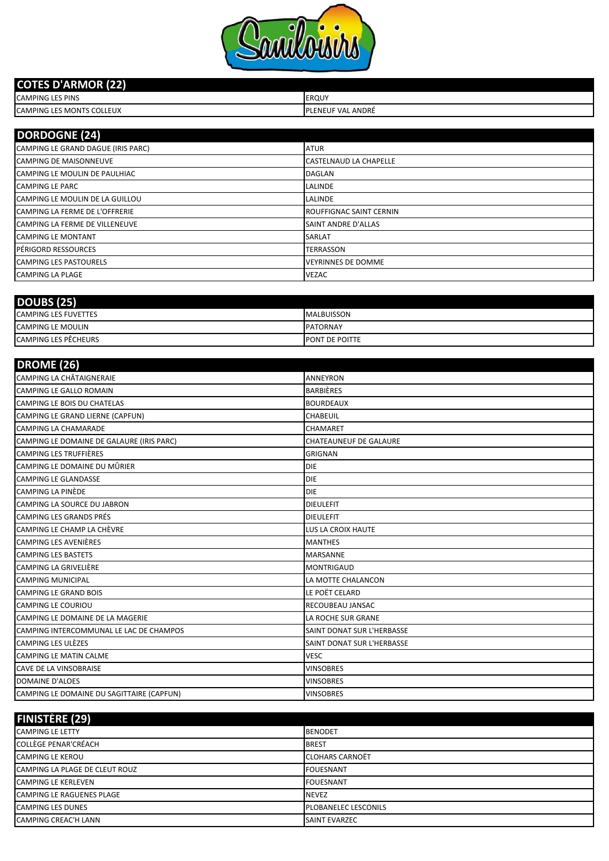

#### **COTES D'ARMOR (22)**

| <b>CAMPING LES PINS</b>                    | <b>EROUY</b>                                      |
|--------------------------------------------|---------------------------------------------------|
| <b>COLLEUX</b><br><b>CAMPING LES MONTS</b> | بد ANDRÉ<br>LUF '<br>I D<br>$\mathcal{U}$<br>-NFI |

| <b>DORDOGNE (24)</b>                  |                                |
|---------------------------------------|--------------------------------|
| CAMPING LE GRAND DAGUE (IRIS PARC)    | <b>ATUR</b>                    |
| <b>CAMPING DE MAISONNEUVE</b>         | CASTELNAUD LA CHAPELLE         |
| CAMPING LE MOULIN DE PAULHIAC         | <b>DAGLAN</b>                  |
| <b>CAMPING LE PARC</b>                | <b>LALINDE</b>                 |
| CAMPING LE MOULIN DE LA GUILLOU       | LALINDE                        |
| CAMPING LA FERME DE L'OFFRERIE        | <b>ROUFFIGNAC SAINT CERNIN</b> |
| <b>CAMPING LA FERME DE VILLENEUVE</b> | <b>SAINT ANDRE D'ALLAS</b>     |
| <b>CAMPING LE MONTANT</b>             | <b>SARLAT</b>                  |
| <b>IPÉRIGORD RESSOURCES</b>           | <b>TERRASSON</b>               |
| <b>CAMPING LES PASTOURELS</b>         | <b>VEYRINNES DE DOMME</b>      |
| <b>CAMPING LA PLAGE</b>               | <b>VEZAC</b>                   |

| <b>DOUBS (25)</b>           |                       |
|-----------------------------|-----------------------|
| <b>CAMPING LES FUVETTES</b> | <b>MALBUISSON</b>     |
| <b>CAMPING LE MOULIN</b>    | <b>PATORNAY</b>       |
| <b>CAMPING LES PÊCHEURS</b> | <b>PONT DE POITTE</b> |

| <b>DROME</b> (26)                         |                               |
|-------------------------------------------|-------------------------------|
| <b>CAMPING LA CHÂTAIGNERAIE</b>           | <b>ANNEYRON</b>               |
| <b>CAMPING LE GALLO ROMAIN</b>            | <b>BARBIÈRES</b>              |
| CAMPING LE BOIS DU CHATELAS               | <b>BOURDEAUX</b>              |
| CAMPING LE GRAND LIERNE (CAPFUN)          | CHABEUIL                      |
| <b>CAMPING LA CHAMARADE</b>               | CHAMARET                      |
| CAMPING LE DOMAINE DE GALAURE (IRIS PARC) | <b>CHATEAUNEUF DE GALAURE</b> |
| <b>CAMPING LES TRUFFIÈRES</b>             | <b>GRIGNAN</b>                |
| CAMPING LE DOMAINE DU MÛRIER              | <b>DIE</b>                    |
| <b>CAMPING LE GLANDASSE</b>               | <b>DIE</b>                    |
| <b>CAMPING LA PINÈDE</b>                  | <b>DIE</b>                    |
| CAMPING LA SOURCE DU JABRON               | <b>DIEULEFIT</b>              |
| CAMPING LES GRANDS PRÉS                   | <b>DIEULEFIT</b>              |
| CAMPING LE CHAMP LA CHÈVRE                | <b>LUS LA CROIX HAUTE</b>     |
| <b>CAMPING LES AVENIÈRES</b>              | <b>MANTHES</b>                |
| <b>CAMPING LES BASTETS</b>                | <b>MARSANNE</b>               |
| <b>CAMPING LA GRIVELIÈRE</b>              | <b>MONTRIGAUD</b>             |
| <b>CAMPING MUNICIPAL</b>                  | LA MOTTE CHALANCON            |
| <b>CAMPING LE GRAND BOIS</b>              | LE POËT CELARD                |
| <b>CAMPING LE COURIOU</b>                 | RECOUBEAU JANSAC              |
| CAMPING LE DOMAINE DE LA MAGERIE          | LA ROCHE SUR GRANE            |
| CAMPING INTERCOMMUNAL LE LAC DE CHAMPOS   | SAINT DONAT SUR L'HERBASSE    |
| <b>CAMPING LES ULÈZES</b>                 | SAINT DONAT SUR L'HERBASSE    |
| <b>CAMPING LE MATIN CALME</b>             | <b>VESC</b>                   |
| <b>CAVE DE LA VINSOBRAISE</b>             | <b>VINSOBRES</b>              |
| <b>DOMAINE D'ALOES</b>                    | <b>VINSOBRES</b>              |
| CAMPING LE DOMAINE DU SAGITTAIRE (CAPFUN) | <b>VINSOBRES</b>              |
|                                           |                               |

| <b>FINISTÈRE (29)</b>            |                             |
|----------------------------------|-----------------------------|
| <b>CAMPING LE LETTY</b>          | <b>BENODET</b>              |
| <b>COLLÈGE PENAR'CRÉACH</b>      | <b>BREST</b>                |
| <b>CAMPING LE KEROU</b>          | <b>CLOHARS CARNOËT</b>      |
| CAMPING LA PLAGE DE CLEUT ROUZ   | <b>FOUESNANT</b>            |
| <b>CAMPING LE KERLEVEN</b>       | <b>FOUESNANT</b>            |
| <b>CAMPING LE RAGUENES PLAGE</b> | <b>NEVEZ</b>                |
| <b>CAMPING LES DUNES</b>         | <b>PLOBANELEC LESCONILS</b> |
| CAMPING CREAC'H LANN             | <b>SAINT EVARZEC</b>        |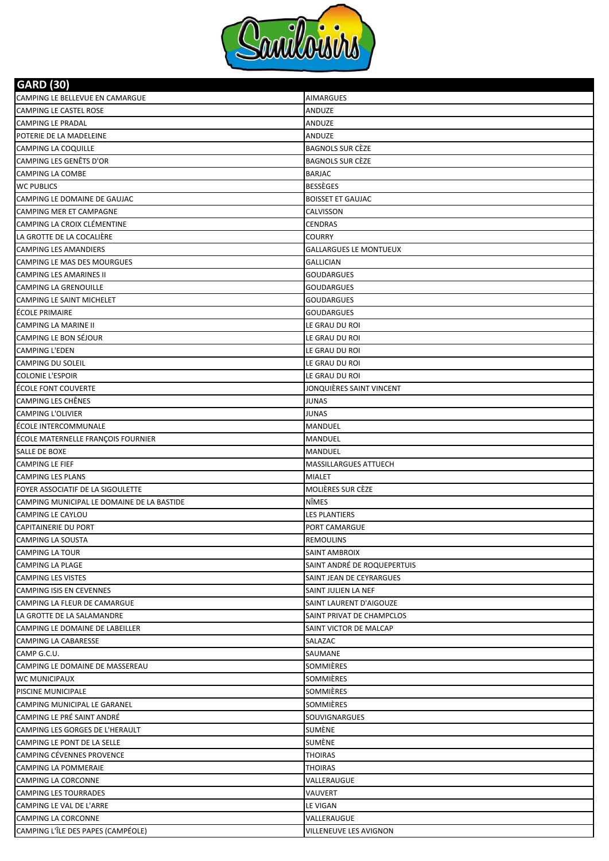

| <b>GARD (30)</b>                                |                              |
|-------------------------------------------------|------------------------------|
| CAMPING LE BELLEVUE EN CAMARGUE                 | <b>AIMARGUES</b>             |
| CAMPING LE CASTEL ROSE                          | ANDUZE                       |
| <b>CAMPING LE PRADAL</b>                        | ANDUZE                       |
| POTERIE DE LA MADELEINE                         | ANDUZE                       |
| CAMPING LA COQUILLE                             | <b>BAGNOLS SUR CÈZE</b>      |
| CAMPING LES GENÊTS D'OR                         | <b>BAGNOLS SUR CÈZE</b>      |
| <b>CAMPING LA COMBE</b>                         | <b>BARJAC</b>                |
| <b>WC PUBLICS</b>                               | <b>BESSÈGES</b>              |
| CAMPING LE DOMAINE DE GAUJAC                    | <b>BOISSET ET GAUJAC</b>     |
| <b>CAMPING MER ET CAMPAGNE</b>                  | CALVISSON                    |
| CAMPING LA CROIX CLÉMENTINE                     | CENDRAS                      |
| LA GROTTE DE LA COCALIÈRE                       | COURRY                       |
| <b>CAMPING LES AMANDIERS</b>                    | GALLARGUES LE MONTUEUX       |
| CAMPING LE MAS DES MOURGUES                     | <b>GALLICIAN</b>             |
| CAMPING LES AMARINES II                         | <b>GOUDARGUES</b>            |
| <b>CAMPING LA GRENOUILLE</b>                    | GOUDARGUES                   |
| CAMPING LE SAINT MICHELET                       | <b>GOUDARGUES</b>            |
| ÉCOLE PRIMAIRE                                  | GOUDARGUES                   |
| <b>CAMPING LA MARINE II</b>                     | LE GRAU DU ROI               |
| CAMPING LE BON SÉJOUR                           | LE GRAU DU ROI               |
| <b>CAMPING L'EDEN</b>                           | LE GRAU DU ROI               |
| <b>CAMPING DU SOLEIL</b>                        | LE GRAU DU ROI               |
| <b>COLONIE L'ESPOIR</b>                         | LE GRAU DU ROI               |
| ÉCOLE FONT COUVERTE                             | JONQUIÈRES SAINT VINCENT     |
| CAMPING LES CHÊNES                              | JUNAS                        |
| <b>CAMPING L'OLIVIER</b>                        | <b>JUNAS</b>                 |
| ÉCOLE INTERCOMMUNALE                            | MANDUEL                      |
| ÉCOLE MATERNELLE FRANÇOIS FOURNIER              | MANDUEL                      |
| SALLE DE BOXE                                   | MANDUEL                      |
| <b>CAMPING LE FIEF</b>                          | <b>MASSILLARGUES ATTUECH</b> |
| <b>CAMPING LES PLANS</b>                        | <b>MIALET</b>                |
| FOYER ASSOCIATIF DE LA SIGOULETTE               | MOLIÈRES SUR CÈZE            |
| CAMPING MUNICIPAL LE DOMAINE DE LA BASTIDE      | NÎMES                        |
| CAMPING LE CAYLOU                               | <b>LES PLANTIERS</b>         |
| <b>CAPITAINERIE DU PORT</b>                     | PORT CAMARGUE                |
| <b>CAMPING LA SOUSTA</b>                        | <b>REMOULINS</b>             |
| <b>CAMPING LA TOUR</b>                          | SAINT AMBROIX                |
| CAMPING LA PLAGE                                | SAINT ANDRÉ DE ROQUEPERTUIS  |
| <b>CAMPING LES VISTES</b>                       | SAINT JEAN DE CEYRARGUES     |
| CAMPING ISIS EN CEVENNES                        | SAINT JULIEN LA NEF          |
| CAMPING LA FLEUR DE CAMARGUE                    | SAINT LAURENT D'AIGOUZE      |
| LA GROTTE DE LA SALAMANDRE                      | SAINT PRIVAT DE CHAMPCLOS    |
| CAMPING LE DOMAINE DE LABEILLER                 | SAINT VICTOR DE MALCAP       |
| CAMPING LA CABARESSE                            | SALAZAC                      |
| CAMP G.C.U.                                     | SAUMANE                      |
| CAMPING LE DOMAINE DE MASSEREAU                 | SOMMIÈRES                    |
| WC MUNICIPAUX                                   | SOMMIÈRES                    |
| PISCINE MUNICIPALE                              | SOMMIÈRES                    |
| CAMPING MUNICIPAL LE GARANEL                    | SOMMIÈRES                    |
| CAMPING LE PRÉ SAINT ANDRÉ                      | SOUVIGNARGUES                |
| CAMPING LES GORGES DE L'HERAULT                 | SUMÈNE                       |
| CAMPING LE PONT DE LA SELLE                     | SUMÈNE                       |
| CAMPING CÉVENNES PROVENCE                       | THOIRAS                      |
| <b>CAMPING LA POMMERAIE</b>                     | <b>THOIRAS</b>               |
| CAMPING LA CORCONNE                             | VALLERAUGUE                  |
| <b>CAMPING LES TOURRADES</b>                    | VAUVERT                      |
| CAMPING LE VAL DE L'ARRE<br>CAMPING LA CORCONNE | LE VIGAN<br>VALLERAUGUE      |
| CAMPING L'ÎLE DES PAPES (CAMPÉOLE)              |                              |
|                                                 | VILLENEUVE LES AVIGNON       |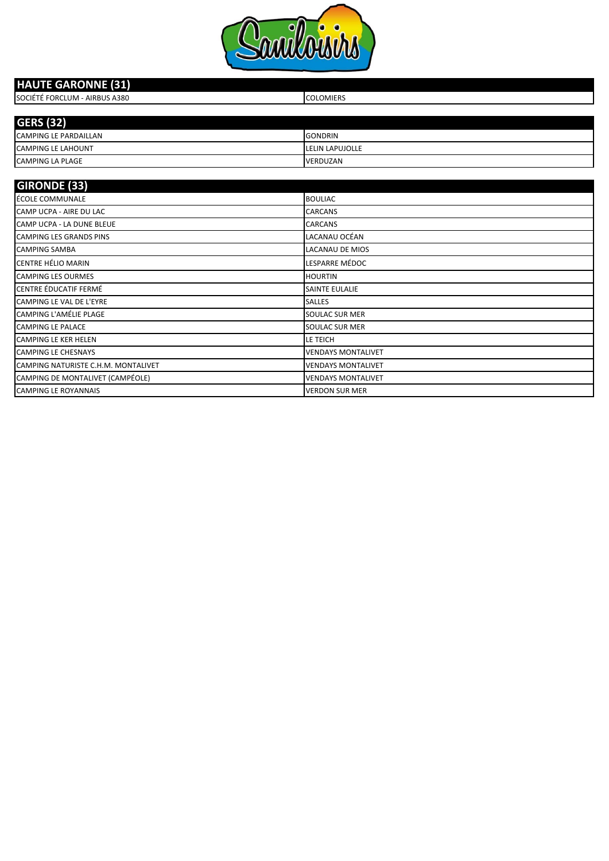

#### SOCIÉTÉ FORCLUM - AIRBUS A380 COLOMIERS CAMPING LE PARDAILLAN GONDRIN CAMPING LE LAHOUNT **LELIN LAPUJOLLE GERS (32) HAUTE GARONNE (31)**

| <b>CAMPING LA PLAGE</b>             | VERDUZAN                  |
|-------------------------------------|---------------------------|
|                                     |                           |
| <b>GIRONDE (33)</b>                 |                           |
| ÉCOLE COMMUNALE                     | <b>BOULIAC</b>            |
| CAMP UCPA - AIRE DU LAC             | <b>CARCANS</b>            |
| CAMP UCPA - LA DUNE BLEUE           | <b>CARCANS</b>            |
| <b>CAMPING LES GRANDS PINS</b>      | LACANAU OCÉAN             |
| <b>CAMPING SAMBA</b>                | <b>LACANAU DE MIOS</b>    |
| <b>CENTRE HÉLIO MARIN</b>           | LESPARRE MÉDOC            |
| <b>CAMPING LES OURMES</b>           | <b>HOURTIN</b>            |
| CENTRE ÉDUCATIF FERMÉ               | <b>SAINTE EULALIE</b>     |
| CAMPING LE VAL DE L'EYRE            | <b>SALLES</b>             |
| CAMPING L'AMÉLIE PLAGE              | <b>SOULAC SUR MER</b>     |
| <b>CAMPING LE PALACE</b>            | <b>SOULAC SUR MER</b>     |
| <b>CAMPING LE KER HELEN</b>         | LE TEICH                  |
| <b>CAMPING LE CHESNAYS</b>          | <b>VENDAYS MONTALIVET</b> |
| CAMPING NATURISTE C.H.M. MONTALIVET | <b>VENDAYS MONTALIVET</b> |
| CAMPING DE MONTALIVET (CAMPÉOLE)    | <b>VENDAYS MONTALIVET</b> |
| <b>CAMPING LE ROYANNAIS</b>         | <b>VERDON SUR MER</b>     |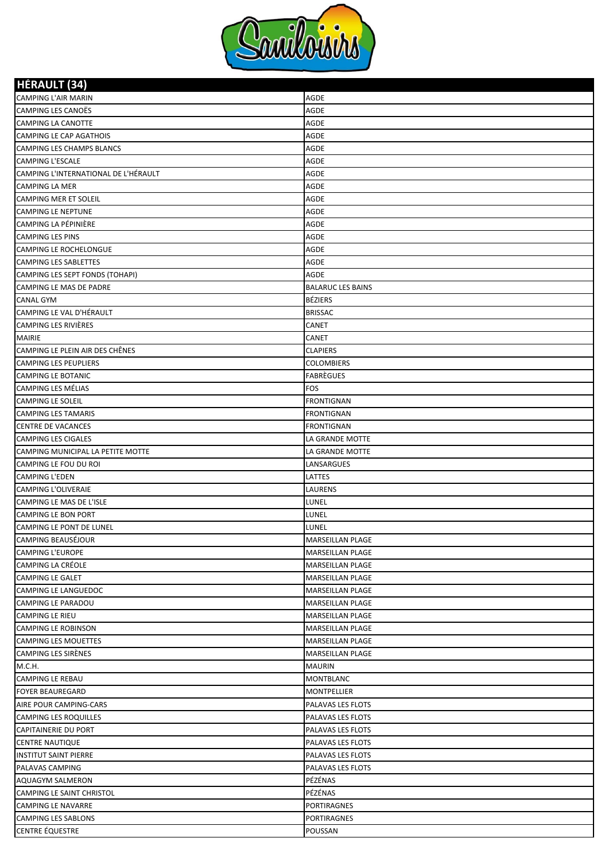

**HÉRAULT (34)**

| <b>NENAULI</b> (34)                                   |                                      |
|-------------------------------------------------------|--------------------------------------|
| <b>CAMPING L'AIR MARIN</b>                            | AGDE                                 |
| CAMPING LES CANOËS                                    | AGDE                                 |
| CAMPING LA CANOTTE                                    | AGDE                                 |
| CAMPING LE CAP AGATHOIS                               | AGDE                                 |
| CAMPING LES CHAMPS BLANCS                             | AGDE                                 |
| <b>CAMPING L'ESCALE</b>                               | AGDE                                 |
| CAMPING L'INTERNATIONAL DE L'HÉRAULT                  | AGDE                                 |
| <b>CAMPING LA MER</b>                                 | AGDE                                 |
| CAMPING MER ET SOLEIL                                 | AGDE                                 |
| <b>CAMPING LE NEPTUNE</b>                             | AGDE                                 |
| CAMPING LA PÉPINIÈRE                                  | AGDE                                 |
| <b>CAMPING LES PINS</b>                               | AGDE                                 |
| CAMPING LE ROCHELONGUE                                | AGDE                                 |
| <b>CAMPING LES SABLETTES</b>                          | AGDE                                 |
| CAMPING LES SEPT FONDS (TOHAPI)                       | AGDE                                 |
| CAMPING LE MAS DE PADRE                               | <b>BALARUC LES BAINS</b>             |
| <b>CANAL GYM</b>                                      | <b>BÉZIERS</b>                       |
| CAMPING LE VAL D'HÉRAULT                              | <b>BRISSAC</b>                       |
| CAMPING LES RIVIÈRES                                  | CANET                                |
| <b>MAIRIE</b>                                         | CANET                                |
| CAMPING LE PLEIN AIR DES CHÊNES                       | <b>CLAPIERS</b>                      |
| <b>CAMPING LES PEUPLIERS</b>                          | <b>COLOMBIERS</b>                    |
| <b>CAMPING LE BOTANIC</b>                             | <b>FABRÈGUES</b>                     |
| CAMPING LES MÉLIAS                                    | <b>FOS</b>                           |
| <b>CAMPING LE SOLEIL</b>                              | <b>FRONTIGNAN</b>                    |
| <b>CAMPING LES TAMARIS</b>                            | <b>FRONTIGNAN</b>                    |
| <b>CENTRE DE VACANCES</b>                             | <b>FRONTIGNAN</b>                    |
| <b>CAMPING LES CIGALES</b>                            | LA GRANDE MOTTE                      |
| CAMPING MUNICIPAL LA PETITE MOTTE                     | LA GRANDE MOTTE                      |
| CAMPING LE FOU DU ROI                                 | LANSARGUES                           |
| <b>CAMPING L'EDEN</b>                                 | LATTES                               |
| <b>CAMPING L'OLIVERAIE</b>                            | LAURENS                              |
| CAMPING LE MAS DE L'ISLE                              | LUNEL                                |
| <b>CAMPING LE BON PORT</b>                            | LUNEL                                |
| CAMPING LE PONT DE LUNEL<br><b>CAMPING BEAUSÉJOUR</b> | LUNEL                                |
|                                                       | <b>MARSEILLAN PLAGE</b>              |
| <b>CAMPING L'EUROPE</b>                               | MARSEILLAN PLAGE                     |
| CAMPING LA CRÉOLE                                     | MARSEILLAN PLAGE                     |
| <b>CAMPING LE GALET</b><br>CAMPING LE LANGUEDOC       | MARSEILLAN PLAGE<br>MARSEILLAN PLAGE |
|                                                       |                                      |
| CAMPING LE PARADOU                                    | MARSEILLAN PLAGE<br>MARSEILLAN PLAGE |
| CAMPING LE RIEU<br><b>CAMPING LE ROBINSON</b>         |                                      |
|                                                       | MARSEILLAN PLAGE                     |
| CAMPING LES MOUETTES                                  | MARSEILLAN PLAGE                     |
| CAMPING LES SIRÈNES<br>M.C.H.                         | MARSEILLAN PLAGE                     |
| CAMPING LE REBAU                                      | MAURIN<br>MONTBLANC                  |
| <b>FOYER BEAUREGARD</b>                               | MONTPELLIER                          |
| AIRE POUR CAMPING-CARS                                | PALAVAS LES FLOTS                    |
| CAMPING LES ROQUILLES                                 | PALAVAS LES FLOTS                    |
| <b>CAPITAINERIE DU PORT</b>                           | PALAVAS LES FLOTS                    |
| <b>CENTRE NAUTIQUE</b>                                | PALAVAS LES FLOTS                    |
| <b>INSTITUT SAINT PIERRE</b>                          | PALAVAS LES FLOTS                    |
| PALAVAS CAMPING                                       | PALAVAS LES FLOTS                    |
| AQUAGYM SALMERON                                      | PÉZÉNAS                              |
| CAMPING LE SAINT CHRISTOL                             | PÉZÉNAS                              |
| <b>CAMPING LE NAVARRE</b>                             | PORTIRAGNES                          |
| CAMPING LES SABLONS                                   | PORTIRAGNES                          |
| <b>CENTRE ÉQUESTRE</b>                                | POUSSAN                              |
|                                                       |                                      |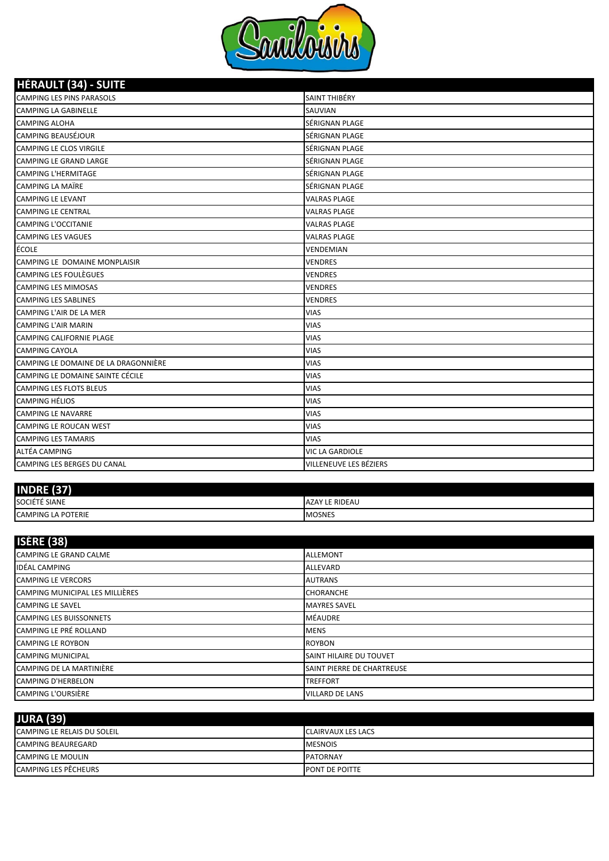

| <b>HÉRAULT (34) - SUITE</b>          |                        |
|--------------------------------------|------------------------|
| <b>CAMPING LES PINS PARASOLS</b>     | SAINT THIBÉRY          |
| <b>CAMPING LA GABINELLE</b>          | SAUVIAN                |
| <b>CAMPING ALOHA</b>                 | SÉRIGNAN PLAGE         |
| <b>CAMPING BEAUSÉJOUR</b>            | SÉRIGNAN PLAGE         |
| CAMPING LE CLOS VIRGILE              | SÉRIGNAN PLAGE         |
| <b>CAMPING LE GRAND LARGE</b>        | SÉRIGNAN PLAGE         |
| <b>CAMPING L'HERMITAGE</b>           | SÉRIGNAN PLAGE         |
| <b>CAMPING LA MAÏRE</b>              | SÉRIGNAN PLAGE         |
| <b>CAMPING LE LEVANT</b>             | <b>VALRAS PLAGE</b>    |
| <b>CAMPING LE CENTRAL</b>            | VALRAS PLAGE           |
| <b>CAMPING L'OCCITANIE</b>           | <b>VALRAS PLAGE</b>    |
| <b>CAMPING LES VAGUES</b>            | <b>VALRAS PLAGE</b>    |
| ÉCOLE                                | VENDEMIAN              |
| CAMPING LE DOMAINE MONPLAISIR        | <b>VENDRES</b>         |
| CAMPING LES FOULÈGUES                | <b>VENDRES</b>         |
| <b>CAMPING LES MIMOSAS</b>           | <b>VENDRES</b>         |
| <b>CAMPING LES SABLINES</b>          | <b>VENDRES</b>         |
| CAMPING L'AIR DE LA MER              | <b>VIAS</b>            |
| <b>CAMPING L'AIR MARIN</b>           | VIAS                   |
| <b>CAMPING CALIFORNIE PLAGE</b>      | <b>VIAS</b>            |
| <b>CAMPING CAYOLA</b>                | <b>VIAS</b>            |
| CAMPING LE DOMAINE DE LA DRAGONNIÈRE | VIAS                   |
| CAMPING LE DOMAINE SAINTE CÉCILE     | <b>VIAS</b>            |
| <b>CAMPING LES FLOTS BLEUS</b>       | <b>VIAS</b>            |
| <b>CAMPING HÉLIOS</b>                | VIAS                   |
| <b>CAMPING LE NAVARRE</b>            | <b>VIAS</b>            |
| CAMPING LE ROUCAN WEST               | <b>VIAS</b>            |
| <b>CAMPING LES TAMARIS</b>           | <b>VIAS</b>            |
| ALTÉA CAMPING                        | VIC LA GARDIOLE        |
| <b>CAMPING LES BERGES DU CANAL</b>   | VILLENEUVE LES BÉZIERS |

| 127<br><b>INDRF</b><br>Ы  |                |
|---------------------------|----------------|
| SOCIÉTÉ SIANE             | AZAY LE RIDEAU |
| <b>CAMPING LA POTERIE</b> | <b>MOSNES</b>  |

| <b>ISÈRE (38)</b>               |                                |
|---------------------------------|--------------------------------|
| CAMPING LE GRAND CALME          | <b>ALLEMONT</b>                |
| <b>IDÉAL CAMPING</b>            | <b>ALLEVARD</b>                |
| <b>CAMPING LE VERCORS</b>       | <b>AUTRANS</b>                 |
| CAMPING MUNICIPAL LES MILLIÈRES | <b>CHORANCHE</b>               |
| <b>CAMPING LE SAVEL</b>         | <b>MAYRES SAVEL</b>            |
| <b>CAMPING LES BUISSONNETS</b>  | <b>MÉAUDRE</b>                 |
| <b>CAMPING LE PRÉ ROLLAND</b>   | <b>MENS</b>                    |
| <b>CAMPING LE ROYBON</b>        | <b>ROYBON</b>                  |
| <b>CAMPING MUNICIPAL</b>        | <b>SAINT HILAIRE DU TOUVET</b> |
| CAMPING DE LA MARTINIÈRE        | SAINT PIERRE DE CHARTREUSE     |
| <b>CAMPING D'HERBELON</b>       | <b>TREFFORT</b>                |
| CAMPING L'OURSIÈRE              | <b>VILLARD DE LANS</b>         |

| <b>JURA (39)</b>                   |                           |
|------------------------------------|---------------------------|
| <b>CAMPING LE RELAIS DU SOLEIL</b> | <b>CLAIRVAUX LES LACS</b> |
| <b>CAMPING BEAUREGARD</b>          | <b>MESNOIS</b>            |
| <b>CAMPING LE MOULIN</b>           | <b>PATORNAY</b>           |
| CAMPING LES PÊCHEURS               | <b>PONT DE POITTE</b>     |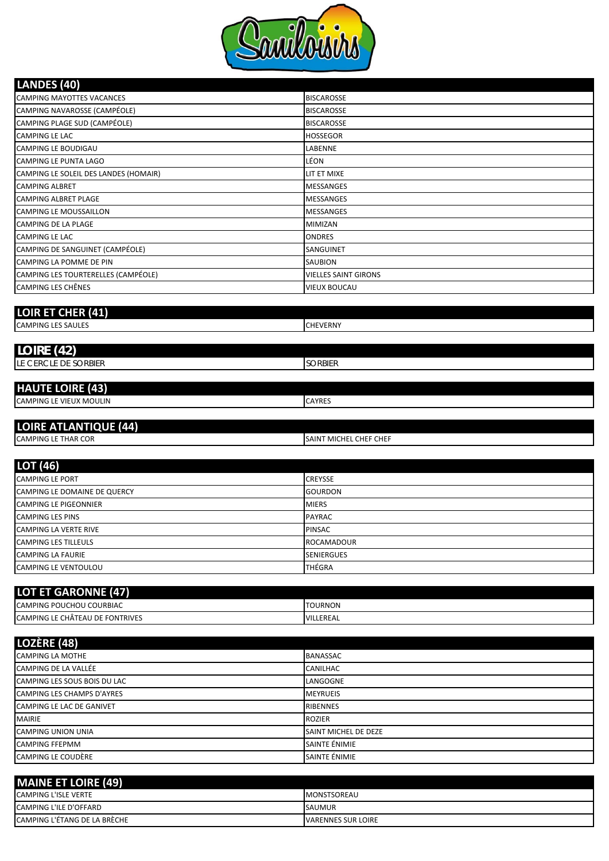

| <b>BISCAROSSE</b>           |
|-----------------------------|
| <b>BISCAROSSE</b>           |
| <b>BISCAROSSE</b>           |
| <b>HOSSEGOR</b>             |
| LABENNE                     |
| LÉON                        |
| LIT ET MIXE                 |
| <b>MESSANGES</b>            |
| <b>MESSANGES</b>            |
| <b>MESSANGES</b>            |
| <b>MIMIZAN</b>              |
| <b>ONDRES</b>               |
| SANGUINET                   |
| <b>SAUBION</b>              |
| <b>VIELLES SAINT GIRONS</b> |
| <b>VIEUX BOUCAU</b>         |
|                             |
|                             |
|                             |

CAMPING LES SAULES **CAMPING LES SAULES** 

| (42)<br><b>LOIRE</b>      |         |  |
|---------------------------|---------|--|
| LE CERCLE DE SORBIER      | SORBIEK |  |
|                           |         |  |
| <b>LUALITE LOIDE</b> (A2) |         |  |

| I NAVI E LUINE (43)                           |       |
|-----------------------------------------------|-------|
| <b>MOULIN</b><br><b>CAMPING</b><br><b>VIF</b> | AYRES |
|                                               |       |

# **LOIRE ATLANTIQUE (44)**

| <sub>'</sub> R COR<br><b>CAMPING</b><br>ΓHΔR<br>ᄕ | MICHEL CHEF CHEF<br><b>SAIN</b><br>. . |
|---------------------------------------------------|----------------------------------------|
|                                                   |                                        |

| LOT (46)                     |                   |
|------------------------------|-------------------|
| <b>CAMPING LE PORT</b>       | <b>CREYSSE</b>    |
| CAMPING LE DOMAINE DE QUERCY | <b>GOURDON</b>    |
| <b>CAMPING LE PIGEONNIER</b> | <b>MIERS</b>      |
| <b>CAMPING LES PINS</b>      | <b>PAYRAC</b>     |
| <b>CAMPING LA VERTE RIVE</b> | <b>PINSAC</b>     |
| <b>CAMPING LES TILLEULS</b>  | <b>ROCAMADOUR</b> |
| <b>CAMPING LA FAURIE</b>     | <b>SENIERGUES</b> |
| <b>CAMPING LE VENTOULOU</b>  | THÉGRA            |

| <b>LOT ET GARONNE (47)</b>      |                |
|---------------------------------|----------------|
| CAMPING POUCHOU COURBIAC        | <b>TOURNON</b> |
| CAMPING LE CHÂTEAU DE FONTRIVES | VILLEREAL      |

| <b>BANASSAC</b><br><b>CANILHAC</b><br>LANGOGNE<br><b>MEYRUEIS</b><br><b>RIBENNES</b><br><b>ROZIER</b><br>SAINT MICHEL DE DEZE<br>SAINTE ÉNIMIE<br>SAINTE ÉNIMIE | LOZÈRE (48)                       |  |
|-----------------------------------------------------------------------------------------------------------------------------------------------------------------|-----------------------------------|--|
|                                                                                                                                                                 | <b>CAMPING LA MOTHE</b>           |  |
|                                                                                                                                                                 | CAMPING DE LA VALLÉE              |  |
|                                                                                                                                                                 | CAMPING LES SOUS BOIS DU LAC      |  |
|                                                                                                                                                                 | <b>CAMPING LES CHAMPS D'AYRES</b> |  |
|                                                                                                                                                                 | CAMPING LE LAC DE GANIVET         |  |
|                                                                                                                                                                 | <b>MAIRIE</b>                     |  |
|                                                                                                                                                                 | <b>CAMPING UNION UNIA</b>         |  |
|                                                                                                                                                                 | <b>CAMPING FFEPMM</b>             |  |
|                                                                                                                                                                 | CAMPING LE COUDÈRE                |  |

| <b>MAINE ET LOIRE (49)</b>          |                           |
|-------------------------------------|---------------------------|
| <b>CAMPING L'ISLE VERTE</b>         | <b>IMONSTSOREAU</b>       |
| CAMPING L'ILE D'OFFARD              | <b>SAUMUR</b>             |
| <b>CAMPING L'ÉTANG DE LA BRÈCHE</b> | <b>VARENNES SUR LOIRE</b> |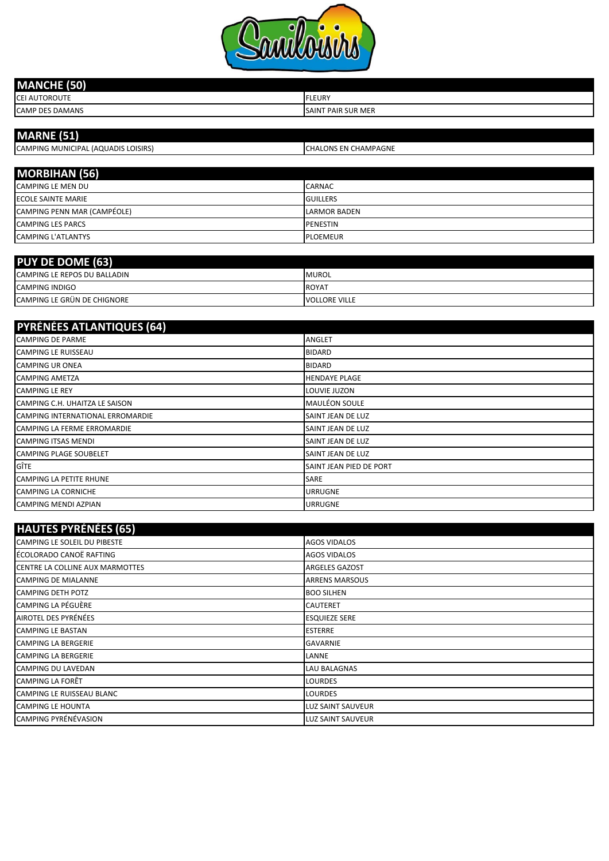

| $-1$<br><b>MANCHE</b><br>על -<br>ـ |                           |
|------------------------------------|---------------------------|
| <b>CEI AUTOROUTE</b>               | <b>FLEURY</b>             |
| <b>CAMP DES DAMANS</b>             | <b>SAINT PAIR SUR MER</b> |

| <b>MARNE</b> (51)                   |                              |
|-------------------------------------|------------------------------|
| CAMPING MUNICIPAL (AQUADIS LOISIRS) | <b>ICHALONS EN CHAMPAGNE</b> |
|                                     |                              |
| <b>MORBIHAN (56)</b>                |                              |
| CARADINIC LE MAENLOUI               | 0.000000                     |

| <b>CAMPING LE MEN DU</b>    | <b>CARNAC</b>       |
|-----------------------------|---------------------|
| <b>ECOLE SAINTE MARIE</b>   | <b>GUILLERS</b>     |
| CAMPING PENN MAR (CAMPÉOLE) | <b>LARMOR BADEN</b> |
| <b>CAMPING LES PARCS</b>    | PENESTIN            |
| <b>CAMPING L'ATLANTYS</b>   | <b>PLOEMEUR</b>     |

| <b>PUY DE DOME (63)</b>      |                      |
|------------------------------|----------------------|
| CAMPING LE REPOS DU BALLADIN | <b>MUROL</b>         |
| <b>CAMPING INDIGO</b>        | <b>ROYA</b>          |
| CAMPING LE GRÜN DE CHIGNORE  | <b>VOLLORE VILLE</b> |

| <b>PYRÉNÉES ATLANTIQUES (64)</b> |                          |
|----------------------------------|--------------------------|
| <b>CAMPING DE PARME</b>          | <b>ANGLET</b>            |
| <b>CAMPING LE RUISSEAU</b>       | <b>BIDARD</b>            |
| <b>CAMPING UR ONEA</b>           | <b>BIDARD</b>            |
| <b>CAMPING AMETZA</b>            | <b>HENDAYE PLAGE</b>     |
| <b>CAMPING LE REY</b>            | LOUVIE JUZON             |
| CAMPING C.H. UHAITZA LE SAISON   | <b>MAULÉON SOULE</b>     |
| CAMPING INTERNATIONAL ERROMARDIE | SAINT JEAN DE LUZ        |
| CAMPING LA FERME ERROMARDIE      | SAINT JEAN DE LUZ        |
| <b>CAMPING ITSAS MENDI</b>       | <b>SAINT JEAN DE LUZ</b> |
| <b>CAMPING PLAGE SOUBELET</b>    | <b>SAINT JEAN DE LUZ</b> |
| GÎTE                             | SAINT JEAN PIED DE PORT  |
| <b>CAMPING LA PETITE RHUNE</b>   | <b>SARE</b>              |
| <b>CAMPING LA CORNICHE</b>       | <b>URRUGNE</b>           |
| <b>CAMPING MENDI AZPIAN</b>      | <b>URRUGNE</b>           |

| <b>HAUTES PYRÉNÉES (65)</b>     |                          |
|---------------------------------|--------------------------|
| CAMPING LE SOLEIL DU PIBESTE    | <b>AGOS VIDALOS</b>      |
| ÉCOLORADO CANOË RAFTING         | <b>AGOS VIDALOS</b>      |
| CENTRE LA COLLINE AUX MARMOTTES | <b>ARGELES GAZOST</b>    |
| <b>CAMPING DE MIALANNE</b>      | <b>ARRENS MARSOUS</b>    |
| <b>CAMPING DETH POTZ</b>        | <b>BOO SILHEN</b>        |
| CAMPING LA PÉGUÈRE              | <b>CAUTERET</b>          |
| AIROTEL DES PYRÉNÉES            | <b>ESQUIEZE SERE</b>     |
| <b>CAMPING LE BASTAN</b>        | <b>ESTERRE</b>           |
| <b>CAMPING LA BERGERIE</b>      | <b>GAVARNIE</b>          |
| <b>CAMPING LA BERGERIE</b>      | LANNE                    |
| <b>CAMPING DU LAVEDAN</b>       | <b>LAU BALAGNAS</b>      |
| <b>CAMPING LA FORÊT</b>         | <b>LOURDES</b>           |
| CAMPING LE RUISSEAU BLANC       | <b>LOURDES</b>           |
| CAMPING LE HOUNTA               | LUZ SAINT SAUVEUR        |
| CAMPING PYRÉNÉVASION            | <b>LUZ SAINT SAUVEUR</b> |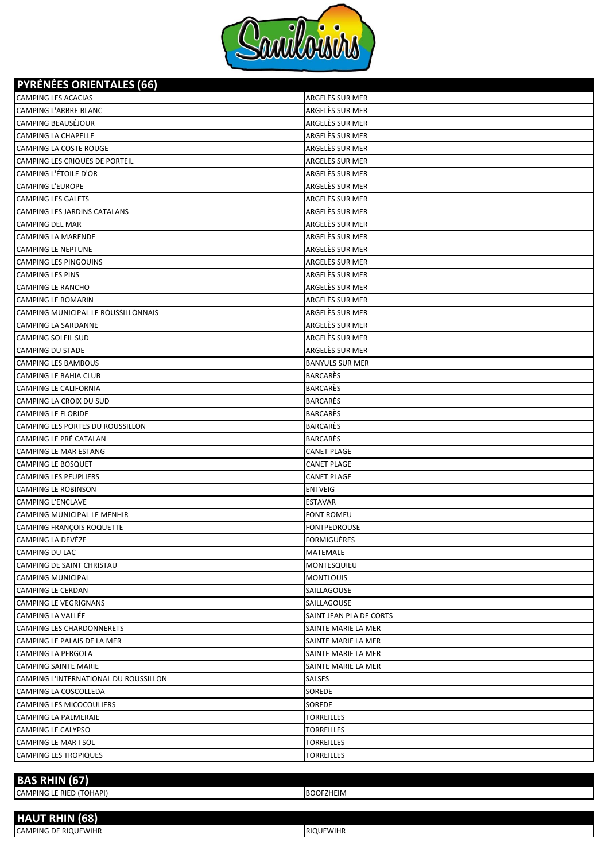

**PYRÉNÉES ORIENTALES (66)**

| <b>CAMPING LES ACACIAS</b><br>ARGELÈS SUR MER<br><b>CAMPING L'ARBRE BLANC</b><br>ARGELÈS SUR MER<br><b>CAMPING BEAUSÉJOUR</b><br><b>CAMPING LA CHAPELLE</b><br>ARGELES SUR MER<br>CAMPING LA COSTE ROUGE<br>ARGELÈS SUR MER<br>ARGELES SUR MER<br>CAMPING LES CRIQUES DE PORTEIL<br><b>CAMPING L'ÉTOILE D'OR</b><br>ARGELES SUR MER<br>ARGELÈS SUR MER<br><b>CAMPING L'EUROPE</b><br>ARGELÈS SUR MER<br><b>CAMPING LES GALETS</b><br>ARGELES SUR MER<br><b>CAMPING LES JARDINS CATALANS</b><br>ARGELÈS SUR MER<br><b>CAMPING DEL MAR</b><br>ARGELÈS SUR MER<br><b>CAMPING LA MARENDE</b><br><b>CAMPING LE NEPTUNE</b><br>ARGELÈS SUR MER<br>ARGELÈS SUR MER<br><b>CAMPING LES PINGOUINS</b><br>ARGELÈS SUR MER<br><b>CAMPING LES PINS</b><br><b>CAMPING LE RANCHO</b><br>ARGELÈS SUR MER<br><b>CAMPING LE ROMARIN</b><br>ARGELÈS SUR MER<br>ARGELÈS SUR MER<br>CAMPING MUNICIPAL LE ROUSSILLONNAIS<br>ARGELÈS SUR MER<br><b>CAMPING LA SARDANNE</b><br>ARGELES SUR MER<br><b>CAMPING SOLEIL SUD</b><br>ARGELES SUR MER<br><b>CAMPING DU STADE</b><br><b>CAMPING LES BAMBOUS</b><br><b>BANYULS SUR MER</b><br><b>BARCARÈS</b><br><b>CAMPING LE BAHIA CLUB</b><br><b>BARCARÈS</b><br><b>CAMPING LE CALIFORNIA</b><br><b>BARCARÈS</b><br>CAMPING LA CROIX DU SUD<br><b>CAMPING LE FLORIDE</b><br><b>BARCARÈS</b><br>CAMPING LES PORTES DU ROUSSILLON<br><b>BARCARÈS</b><br>CAMPING LE PRÉ CATALAN<br><b>BARCARÈS</b><br><b>CANET PLAGE</b><br><b>CAMPING LE MAR ESTANG</b><br><b>CAMPING LE BOSQUET</b><br><b>CANET PLAGE</b><br><b>CAMPING LES PEUPLIERS</b><br><b>CANET PLAGE</b><br><b>CAMPING LE ROBINSON</b><br><b>ENTVEIG</b><br><b>CAMPING L'ENCLAVE</b><br><b>ESTAVAR</b><br>CAMPING MUNICIPAL LE MENHIR<br><b>FONT ROMEU</b><br><b>CAMPING FRANÇOIS ROQUETTE</b><br>FONTPEDROUSE<br>CAMPING LA DEVÈZE<br><b>FORMIGUÈRES</b><br><b>CAMPING DU LAC</b><br>MATEMALE<br>CAMPING DE SAINT CHRISTAU<br>MONTESQUIEU<br><b>CAMPING MUNICIPAL</b><br><b>MONTLOUIS</b><br><b>CAMPING LE CERDAN</b><br>SAILLAGOUSE<br><b>CAMPING LE VEGRIGNANS</b><br>SAILLAGOUSE<br><b>CAMPING LA VALLÉE</b><br>SAINT JEAN PLA DE CORTS<br><b>CAMPING LES CHARDONNERETS</b><br>SAINTE MARIE LA MER<br>CAMPING LE PALAIS DE LA MER<br>SAINTE MARIE LA MER<br><b>CAMPING LA PERGOLA</b><br>SAINTE MARIE LA MER<br>SAINTE MARIE LA MER<br>CAMPING SAINTE MARIE<br>CAMPING L'INTERNATIONAL DU ROUSSILLON<br>SALSES<br>CAMPING LA COSCOLLEDA<br>SOREDE<br>CAMPING LES MICOCOULIERS<br>SOREDE<br><b>TORREILLES</b><br>CAMPING LA PALMERAIE<br>CAMPING LE CALYPSO<br><b>TORREILLES</b><br>CAMPING LE MAR I SOL<br><b>TORREILLES</b><br><b>CAMPING LES TROPIQUES</b><br><b>TORREILLES</b> | PIRENEES URIEN ALES (00) |                 |
|---------------------------------------------------------------------------------------------------------------------------------------------------------------------------------------------------------------------------------------------------------------------------------------------------------------------------------------------------------------------------------------------------------------------------------------------------------------------------------------------------------------------------------------------------------------------------------------------------------------------------------------------------------------------------------------------------------------------------------------------------------------------------------------------------------------------------------------------------------------------------------------------------------------------------------------------------------------------------------------------------------------------------------------------------------------------------------------------------------------------------------------------------------------------------------------------------------------------------------------------------------------------------------------------------------------------------------------------------------------------------------------------------------------------------------------------------------------------------------------------------------------------------------------------------------------------------------------------------------------------------------------------------------------------------------------------------------------------------------------------------------------------------------------------------------------------------------------------------------------------------------------------------------------------------------------------------------------------------------------------------------------------------------------------------------------------------------------------------------------------------------------------------------------------------------------------------------------------------------------------------------------------------------------------------------------------------------------------------------------------------------------------------------------------------------------------------------------------------------------------------------------------------------------------------------------------------------------------------------------------------------------------------------------|--------------------------|-----------------|
|                                                                                                                                                                                                                                                                                                                                                                                                                                                                                                                                                                                                                                                                                                                                                                                                                                                                                                                                                                                                                                                                                                                                                                                                                                                                                                                                                                                                                                                                                                                                                                                                                                                                                                                                                                                                                                                                                                                                                                                                                                                                                                                                                                                                                                                                                                                                                                                                                                                                                                                                                                                                                                                               |                          | ARGELÈS SUR MER |
|                                                                                                                                                                                                                                                                                                                                                                                                                                                                                                                                                                                                                                                                                                                                                                                                                                                                                                                                                                                                                                                                                                                                                                                                                                                                                                                                                                                                                                                                                                                                                                                                                                                                                                                                                                                                                                                                                                                                                                                                                                                                                                                                                                                                                                                                                                                                                                                                                                                                                                                                                                                                                                                               |                          |                 |
|                                                                                                                                                                                                                                                                                                                                                                                                                                                                                                                                                                                                                                                                                                                                                                                                                                                                                                                                                                                                                                                                                                                                                                                                                                                                                                                                                                                                                                                                                                                                                                                                                                                                                                                                                                                                                                                                                                                                                                                                                                                                                                                                                                                                                                                                                                                                                                                                                                                                                                                                                                                                                                                               |                          |                 |
|                                                                                                                                                                                                                                                                                                                                                                                                                                                                                                                                                                                                                                                                                                                                                                                                                                                                                                                                                                                                                                                                                                                                                                                                                                                                                                                                                                                                                                                                                                                                                                                                                                                                                                                                                                                                                                                                                                                                                                                                                                                                                                                                                                                                                                                                                                                                                                                                                                                                                                                                                                                                                                                               |                          |                 |
|                                                                                                                                                                                                                                                                                                                                                                                                                                                                                                                                                                                                                                                                                                                                                                                                                                                                                                                                                                                                                                                                                                                                                                                                                                                                                                                                                                                                                                                                                                                                                                                                                                                                                                                                                                                                                                                                                                                                                                                                                                                                                                                                                                                                                                                                                                                                                                                                                                                                                                                                                                                                                                                               |                          |                 |
|                                                                                                                                                                                                                                                                                                                                                                                                                                                                                                                                                                                                                                                                                                                                                                                                                                                                                                                                                                                                                                                                                                                                                                                                                                                                                                                                                                                                                                                                                                                                                                                                                                                                                                                                                                                                                                                                                                                                                                                                                                                                                                                                                                                                                                                                                                                                                                                                                                                                                                                                                                                                                                                               |                          |                 |
|                                                                                                                                                                                                                                                                                                                                                                                                                                                                                                                                                                                                                                                                                                                                                                                                                                                                                                                                                                                                                                                                                                                                                                                                                                                                                                                                                                                                                                                                                                                                                                                                                                                                                                                                                                                                                                                                                                                                                                                                                                                                                                                                                                                                                                                                                                                                                                                                                                                                                                                                                                                                                                                               |                          |                 |
|                                                                                                                                                                                                                                                                                                                                                                                                                                                                                                                                                                                                                                                                                                                                                                                                                                                                                                                                                                                                                                                                                                                                                                                                                                                                                                                                                                                                                                                                                                                                                                                                                                                                                                                                                                                                                                                                                                                                                                                                                                                                                                                                                                                                                                                                                                                                                                                                                                                                                                                                                                                                                                                               |                          |                 |
|                                                                                                                                                                                                                                                                                                                                                                                                                                                                                                                                                                                                                                                                                                                                                                                                                                                                                                                                                                                                                                                                                                                                                                                                                                                                                                                                                                                                                                                                                                                                                                                                                                                                                                                                                                                                                                                                                                                                                                                                                                                                                                                                                                                                                                                                                                                                                                                                                                                                                                                                                                                                                                                               |                          |                 |
|                                                                                                                                                                                                                                                                                                                                                                                                                                                                                                                                                                                                                                                                                                                                                                                                                                                                                                                                                                                                                                                                                                                                                                                                                                                                                                                                                                                                                                                                                                                                                                                                                                                                                                                                                                                                                                                                                                                                                                                                                                                                                                                                                                                                                                                                                                                                                                                                                                                                                                                                                                                                                                                               |                          |                 |
|                                                                                                                                                                                                                                                                                                                                                                                                                                                                                                                                                                                                                                                                                                                                                                                                                                                                                                                                                                                                                                                                                                                                                                                                                                                                                                                                                                                                                                                                                                                                                                                                                                                                                                                                                                                                                                                                                                                                                                                                                                                                                                                                                                                                                                                                                                                                                                                                                                                                                                                                                                                                                                                               |                          |                 |
|                                                                                                                                                                                                                                                                                                                                                                                                                                                                                                                                                                                                                                                                                                                                                                                                                                                                                                                                                                                                                                                                                                                                                                                                                                                                                                                                                                                                                                                                                                                                                                                                                                                                                                                                                                                                                                                                                                                                                                                                                                                                                                                                                                                                                                                                                                                                                                                                                                                                                                                                                                                                                                                               |                          |                 |
|                                                                                                                                                                                                                                                                                                                                                                                                                                                                                                                                                                                                                                                                                                                                                                                                                                                                                                                                                                                                                                                                                                                                                                                                                                                                                                                                                                                                                                                                                                                                                                                                                                                                                                                                                                                                                                                                                                                                                                                                                                                                                                                                                                                                                                                                                                                                                                                                                                                                                                                                                                                                                                                               |                          |                 |
|                                                                                                                                                                                                                                                                                                                                                                                                                                                                                                                                                                                                                                                                                                                                                                                                                                                                                                                                                                                                                                                                                                                                                                                                                                                                                                                                                                                                                                                                                                                                                                                                                                                                                                                                                                                                                                                                                                                                                                                                                                                                                                                                                                                                                                                                                                                                                                                                                                                                                                                                                                                                                                                               |                          |                 |
|                                                                                                                                                                                                                                                                                                                                                                                                                                                                                                                                                                                                                                                                                                                                                                                                                                                                                                                                                                                                                                                                                                                                                                                                                                                                                                                                                                                                                                                                                                                                                                                                                                                                                                                                                                                                                                                                                                                                                                                                                                                                                                                                                                                                                                                                                                                                                                                                                                                                                                                                                                                                                                                               |                          |                 |
|                                                                                                                                                                                                                                                                                                                                                                                                                                                                                                                                                                                                                                                                                                                                                                                                                                                                                                                                                                                                                                                                                                                                                                                                                                                                                                                                                                                                                                                                                                                                                                                                                                                                                                                                                                                                                                                                                                                                                                                                                                                                                                                                                                                                                                                                                                                                                                                                                                                                                                                                                                                                                                                               |                          |                 |
|                                                                                                                                                                                                                                                                                                                                                                                                                                                                                                                                                                                                                                                                                                                                                                                                                                                                                                                                                                                                                                                                                                                                                                                                                                                                                                                                                                                                                                                                                                                                                                                                                                                                                                                                                                                                                                                                                                                                                                                                                                                                                                                                                                                                                                                                                                                                                                                                                                                                                                                                                                                                                                                               |                          |                 |
|                                                                                                                                                                                                                                                                                                                                                                                                                                                                                                                                                                                                                                                                                                                                                                                                                                                                                                                                                                                                                                                                                                                                                                                                                                                                                                                                                                                                                                                                                                                                                                                                                                                                                                                                                                                                                                                                                                                                                                                                                                                                                                                                                                                                                                                                                                                                                                                                                                                                                                                                                                                                                                                               |                          |                 |
|                                                                                                                                                                                                                                                                                                                                                                                                                                                                                                                                                                                                                                                                                                                                                                                                                                                                                                                                                                                                                                                                                                                                                                                                                                                                                                                                                                                                                                                                                                                                                                                                                                                                                                                                                                                                                                                                                                                                                                                                                                                                                                                                                                                                                                                                                                                                                                                                                                                                                                                                                                                                                                                               |                          |                 |
|                                                                                                                                                                                                                                                                                                                                                                                                                                                                                                                                                                                                                                                                                                                                                                                                                                                                                                                                                                                                                                                                                                                                                                                                                                                                                                                                                                                                                                                                                                                                                                                                                                                                                                                                                                                                                                                                                                                                                                                                                                                                                                                                                                                                                                                                                                                                                                                                                                                                                                                                                                                                                                                               |                          |                 |
|                                                                                                                                                                                                                                                                                                                                                                                                                                                                                                                                                                                                                                                                                                                                                                                                                                                                                                                                                                                                                                                                                                                                                                                                                                                                                                                                                                                                                                                                                                                                                                                                                                                                                                                                                                                                                                                                                                                                                                                                                                                                                                                                                                                                                                                                                                                                                                                                                                                                                                                                                                                                                                                               |                          |                 |
|                                                                                                                                                                                                                                                                                                                                                                                                                                                                                                                                                                                                                                                                                                                                                                                                                                                                                                                                                                                                                                                                                                                                                                                                                                                                                                                                                                                                                                                                                                                                                                                                                                                                                                                                                                                                                                                                                                                                                                                                                                                                                                                                                                                                                                                                                                                                                                                                                                                                                                                                                                                                                                                               |                          |                 |
|                                                                                                                                                                                                                                                                                                                                                                                                                                                                                                                                                                                                                                                                                                                                                                                                                                                                                                                                                                                                                                                                                                                                                                                                                                                                                                                                                                                                                                                                                                                                                                                                                                                                                                                                                                                                                                                                                                                                                                                                                                                                                                                                                                                                                                                                                                                                                                                                                                                                                                                                                                                                                                                               |                          |                 |
|                                                                                                                                                                                                                                                                                                                                                                                                                                                                                                                                                                                                                                                                                                                                                                                                                                                                                                                                                                                                                                                                                                                                                                                                                                                                                                                                                                                                                                                                                                                                                                                                                                                                                                                                                                                                                                                                                                                                                                                                                                                                                                                                                                                                                                                                                                                                                                                                                                                                                                                                                                                                                                                               |                          |                 |
|                                                                                                                                                                                                                                                                                                                                                                                                                                                                                                                                                                                                                                                                                                                                                                                                                                                                                                                                                                                                                                                                                                                                                                                                                                                                                                                                                                                                                                                                                                                                                                                                                                                                                                                                                                                                                                                                                                                                                                                                                                                                                                                                                                                                                                                                                                                                                                                                                                                                                                                                                                                                                                                               |                          |                 |
|                                                                                                                                                                                                                                                                                                                                                                                                                                                                                                                                                                                                                                                                                                                                                                                                                                                                                                                                                                                                                                                                                                                                                                                                                                                                                                                                                                                                                                                                                                                                                                                                                                                                                                                                                                                                                                                                                                                                                                                                                                                                                                                                                                                                                                                                                                                                                                                                                                                                                                                                                                                                                                                               |                          |                 |
|                                                                                                                                                                                                                                                                                                                                                                                                                                                                                                                                                                                                                                                                                                                                                                                                                                                                                                                                                                                                                                                                                                                                                                                                                                                                                                                                                                                                                                                                                                                                                                                                                                                                                                                                                                                                                                                                                                                                                                                                                                                                                                                                                                                                                                                                                                                                                                                                                                                                                                                                                                                                                                                               |                          |                 |
|                                                                                                                                                                                                                                                                                                                                                                                                                                                                                                                                                                                                                                                                                                                                                                                                                                                                                                                                                                                                                                                                                                                                                                                                                                                                                                                                                                                                                                                                                                                                                                                                                                                                                                                                                                                                                                                                                                                                                                                                                                                                                                                                                                                                                                                                                                                                                                                                                                                                                                                                                                                                                                                               |                          |                 |
|                                                                                                                                                                                                                                                                                                                                                                                                                                                                                                                                                                                                                                                                                                                                                                                                                                                                                                                                                                                                                                                                                                                                                                                                                                                                                                                                                                                                                                                                                                                                                                                                                                                                                                                                                                                                                                                                                                                                                                                                                                                                                                                                                                                                                                                                                                                                                                                                                                                                                                                                                                                                                                                               |                          |                 |
|                                                                                                                                                                                                                                                                                                                                                                                                                                                                                                                                                                                                                                                                                                                                                                                                                                                                                                                                                                                                                                                                                                                                                                                                                                                                                                                                                                                                                                                                                                                                                                                                                                                                                                                                                                                                                                                                                                                                                                                                                                                                                                                                                                                                                                                                                                                                                                                                                                                                                                                                                                                                                                                               |                          |                 |
|                                                                                                                                                                                                                                                                                                                                                                                                                                                                                                                                                                                                                                                                                                                                                                                                                                                                                                                                                                                                                                                                                                                                                                                                                                                                                                                                                                                                                                                                                                                                                                                                                                                                                                                                                                                                                                                                                                                                                                                                                                                                                                                                                                                                                                                                                                                                                                                                                                                                                                                                                                                                                                                               |                          |                 |
|                                                                                                                                                                                                                                                                                                                                                                                                                                                                                                                                                                                                                                                                                                                                                                                                                                                                                                                                                                                                                                                                                                                                                                                                                                                                                                                                                                                                                                                                                                                                                                                                                                                                                                                                                                                                                                                                                                                                                                                                                                                                                                                                                                                                                                                                                                                                                                                                                                                                                                                                                                                                                                                               |                          |                 |
|                                                                                                                                                                                                                                                                                                                                                                                                                                                                                                                                                                                                                                                                                                                                                                                                                                                                                                                                                                                                                                                                                                                                                                                                                                                                                                                                                                                                                                                                                                                                                                                                                                                                                                                                                                                                                                                                                                                                                                                                                                                                                                                                                                                                                                                                                                                                                                                                                                                                                                                                                                                                                                                               |                          |                 |
|                                                                                                                                                                                                                                                                                                                                                                                                                                                                                                                                                                                                                                                                                                                                                                                                                                                                                                                                                                                                                                                                                                                                                                                                                                                                                                                                                                                                                                                                                                                                                                                                                                                                                                                                                                                                                                                                                                                                                                                                                                                                                                                                                                                                                                                                                                                                                                                                                                                                                                                                                                                                                                                               |                          |                 |
|                                                                                                                                                                                                                                                                                                                                                                                                                                                                                                                                                                                                                                                                                                                                                                                                                                                                                                                                                                                                                                                                                                                                                                                                                                                                                                                                                                                                                                                                                                                                                                                                                                                                                                                                                                                                                                                                                                                                                                                                                                                                                                                                                                                                                                                                                                                                                                                                                                                                                                                                                                                                                                                               |                          |                 |
|                                                                                                                                                                                                                                                                                                                                                                                                                                                                                                                                                                                                                                                                                                                                                                                                                                                                                                                                                                                                                                                                                                                                                                                                                                                                                                                                                                                                                                                                                                                                                                                                                                                                                                                                                                                                                                                                                                                                                                                                                                                                                                                                                                                                                                                                                                                                                                                                                                                                                                                                                                                                                                                               |                          |                 |
|                                                                                                                                                                                                                                                                                                                                                                                                                                                                                                                                                                                                                                                                                                                                                                                                                                                                                                                                                                                                                                                                                                                                                                                                                                                                                                                                                                                                                                                                                                                                                                                                                                                                                                                                                                                                                                                                                                                                                                                                                                                                                                                                                                                                                                                                                                                                                                                                                                                                                                                                                                                                                                                               |                          |                 |
|                                                                                                                                                                                                                                                                                                                                                                                                                                                                                                                                                                                                                                                                                                                                                                                                                                                                                                                                                                                                                                                                                                                                                                                                                                                                                                                                                                                                                                                                                                                                                                                                                                                                                                                                                                                                                                                                                                                                                                                                                                                                                                                                                                                                                                                                                                                                                                                                                                                                                                                                                                                                                                                               |                          |                 |
|                                                                                                                                                                                                                                                                                                                                                                                                                                                                                                                                                                                                                                                                                                                                                                                                                                                                                                                                                                                                                                                                                                                                                                                                                                                                                                                                                                                                                                                                                                                                                                                                                                                                                                                                                                                                                                                                                                                                                                                                                                                                                                                                                                                                                                                                                                                                                                                                                                                                                                                                                                                                                                                               |                          |                 |
|                                                                                                                                                                                                                                                                                                                                                                                                                                                                                                                                                                                                                                                                                                                                                                                                                                                                                                                                                                                                                                                                                                                                                                                                                                                                                                                                                                                                                                                                                                                                                                                                                                                                                                                                                                                                                                                                                                                                                                                                                                                                                                                                                                                                                                                                                                                                                                                                                                                                                                                                                                                                                                                               |                          |                 |
|                                                                                                                                                                                                                                                                                                                                                                                                                                                                                                                                                                                                                                                                                                                                                                                                                                                                                                                                                                                                                                                                                                                                                                                                                                                                                                                                                                                                                                                                                                                                                                                                                                                                                                                                                                                                                                                                                                                                                                                                                                                                                                                                                                                                                                                                                                                                                                                                                                                                                                                                                                                                                                                               |                          |                 |
|                                                                                                                                                                                                                                                                                                                                                                                                                                                                                                                                                                                                                                                                                                                                                                                                                                                                                                                                                                                                                                                                                                                                                                                                                                                                                                                                                                                                                                                                                                                                                                                                                                                                                                                                                                                                                                                                                                                                                                                                                                                                                                                                                                                                                                                                                                                                                                                                                                                                                                                                                                                                                                                               |                          |                 |
|                                                                                                                                                                                                                                                                                                                                                                                                                                                                                                                                                                                                                                                                                                                                                                                                                                                                                                                                                                                                                                                                                                                                                                                                                                                                                                                                                                                                                                                                                                                                                                                                                                                                                                                                                                                                                                                                                                                                                                                                                                                                                                                                                                                                                                                                                                                                                                                                                                                                                                                                                                                                                                                               |                          |                 |
|                                                                                                                                                                                                                                                                                                                                                                                                                                                                                                                                                                                                                                                                                                                                                                                                                                                                                                                                                                                                                                                                                                                                                                                                                                                                                                                                                                                                                                                                                                                                                                                                                                                                                                                                                                                                                                                                                                                                                                                                                                                                                                                                                                                                                                                                                                                                                                                                                                                                                                                                                                                                                                                               |                          |                 |
|                                                                                                                                                                                                                                                                                                                                                                                                                                                                                                                                                                                                                                                                                                                                                                                                                                                                                                                                                                                                                                                                                                                                                                                                                                                                                                                                                                                                                                                                                                                                                                                                                                                                                                                                                                                                                                                                                                                                                                                                                                                                                                                                                                                                                                                                                                                                                                                                                                                                                                                                                                                                                                                               |                          |                 |
|                                                                                                                                                                                                                                                                                                                                                                                                                                                                                                                                                                                                                                                                                                                                                                                                                                                                                                                                                                                                                                                                                                                                                                                                                                                                                                                                                                                                                                                                                                                                                                                                                                                                                                                                                                                                                                                                                                                                                                                                                                                                                                                                                                                                                                                                                                                                                                                                                                                                                                                                                                                                                                                               |                          |                 |
|                                                                                                                                                                                                                                                                                                                                                                                                                                                                                                                                                                                                                                                                                                                                                                                                                                                                                                                                                                                                                                                                                                                                                                                                                                                                                                                                                                                                                                                                                                                                                                                                                                                                                                                                                                                                                                                                                                                                                                                                                                                                                                                                                                                                                                                                                                                                                                                                                                                                                                                                                                                                                                                               |                          |                 |
|                                                                                                                                                                                                                                                                                                                                                                                                                                                                                                                                                                                                                                                                                                                                                                                                                                                                                                                                                                                                                                                                                                                                                                                                                                                                                                                                                                                                                                                                                                                                                                                                                                                                                                                                                                                                                                                                                                                                                                                                                                                                                                                                                                                                                                                                                                                                                                                                                                                                                                                                                                                                                                                               |                          |                 |
|                                                                                                                                                                                                                                                                                                                                                                                                                                                                                                                                                                                                                                                                                                                                                                                                                                                                                                                                                                                                                                                                                                                                                                                                                                                                                                                                                                                                                                                                                                                                                                                                                                                                                                                                                                                                                                                                                                                                                                                                                                                                                                                                                                                                                                                                                                                                                                                                                                                                                                                                                                                                                                                               |                          |                 |
|                                                                                                                                                                                                                                                                                                                                                                                                                                                                                                                                                                                                                                                                                                                                                                                                                                                                                                                                                                                                                                                                                                                                                                                                                                                                                                                                                                                                                                                                                                                                                                                                                                                                                                                                                                                                                                                                                                                                                                                                                                                                                                                                                                                                                                                                                                                                                                                                                                                                                                                                                                                                                                                               |                          |                 |
|                                                                                                                                                                                                                                                                                                                                                                                                                                                                                                                                                                                                                                                                                                                                                                                                                                                                                                                                                                                                                                                                                                                                                                                                                                                                                                                                                                                                                                                                                                                                                                                                                                                                                                                                                                                                                                                                                                                                                                                                                                                                                                                                                                                                                                                                                                                                                                                                                                                                                                                                                                                                                                                               |                          |                 |
|                                                                                                                                                                                                                                                                                                                                                                                                                                                                                                                                                                                                                                                                                                                                                                                                                                                                                                                                                                                                                                                                                                                                                                                                                                                                                                                                                                                                                                                                                                                                                                                                                                                                                                                                                                                                                                                                                                                                                                                                                                                                                                                                                                                                                                                                                                                                                                                                                                                                                                                                                                                                                                                               |                          |                 |
|                                                                                                                                                                                                                                                                                                                                                                                                                                                                                                                                                                                                                                                                                                                                                                                                                                                                                                                                                                                                                                                                                                                                                                                                                                                                                                                                                                                                                                                                                                                                                                                                                                                                                                                                                                                                                                                                                                                                                                                                                                                                                                                                                                                                                                                                                                                                                                                                                                                                                                                                                                                                                                                               |                          |                 |
|                                                                                                                                                                                                                                                                                                                                                                                                                                                                                                                                                                                                                                                                                                                                                                                                                                                                                                                                                                                                                                                                                                                                                                                                                                                                                                                                                                                                                                                                                                                                                                                                                                                                                                                                                                                                                                                                                                                                                                                                                                                                                                                                                                                                                                                                                                                                                                                                                                                                                                                                                                                                                                                               |                          |                 |

| <b>BA</b><br>ш                               |              |
|----------------------------------------------|--------------|
| 'TOHAPI)<br>E RIED<br><b>CAMPING L.</b><br>. | <b>ZHEIN</b> |
|                                              |              |

| <b>HAUT RHIN (68)</b><br>DO. |                  |
|------------------------------|------------------|
| <b>CAMPING DE RIQUEWIHR</b>  | <b>RIQUEWIHR</b> |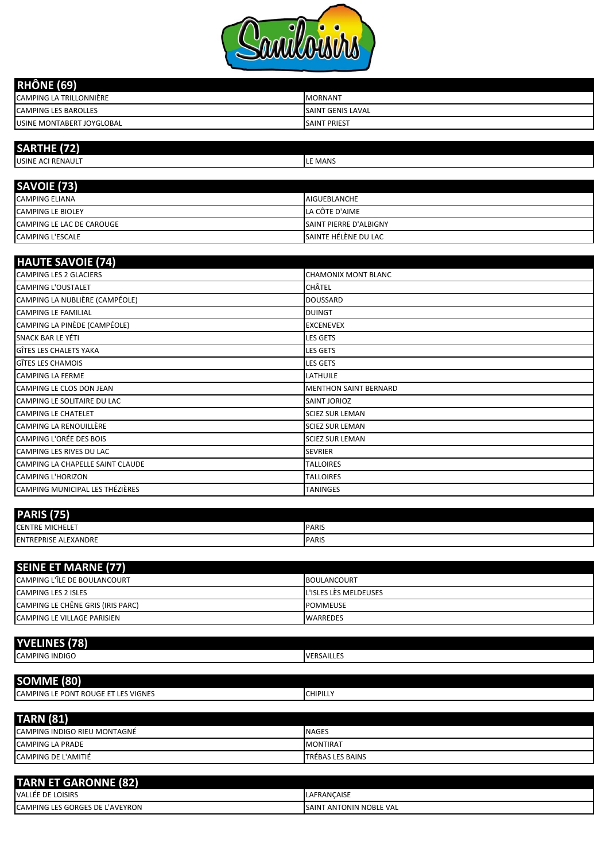

| <b>RHÔNE (69)</b>                |                          |
|----------------------------------|--------------------------|
| CAMPING LA TRILLONNIÈRE          | <b>MORNANT</b>           |
| <b>CAMPING LES BAROLLES</b>      | <b>SAINT GENIS LAVAL</b> |
| <b>USINE MONTABERT JOYGLOBAL</b> | <b>SAINT PRIEST</b>      |

| SARTHE (72)               |                               |
|---------------------------|-------------------------------|
| USINE ACI RENAULT         | LE MANS                       |
|                           |                               |
| SAVOIE (73)               |                               |
| <b>CAMPING ELIANA</b>     | <b>AIGUEBLANCHE</b>           |
| <b>CAMPING LE BIOLEY</b>  | LA CÔTE D'AIME                |
| CAMPING LE LAC DE CAROUGE | <b>SAINT PIERRE D'ALBIGNY</b> |

CAMPING L'ESCALE SAINTE HÉLÈNE DU LAC

| <b>HAUTE SAVOIE (74)</b>         |                              |
|----------------------------------|------------------------------|
| <b>CAMPING LES 2 GLACIERS</b>    | <b>CHAMONIX MONT BLANC</b>   |
| <b>CAMPING L'OUSTALET</b>        | CHÂTEL                       |
| CAMPING LA NUBLIÈRE (CAMPÉOLE)   | <b>DOUSSARD</b>              |
| <b>CAMPING LE FAMILIAL</b>       | <b>DUINGT</b>                |
| CAMPING LA PINÈDE (CAMPÉOLE)     | <b>EXCENEVEX</b>             |
| <b>SNACK BAR LE YÉTI</b>         | <b>LES GETS</b>              |
| GÎTES LES CHALETS YAKA           | <b>LES GETS</b>              |
| GÎTES LES CHAMOIS                | <b>LES GETS</b>              |
| <b>CAMPING LA FERME</b>          | LATHUILE                     |
| CAMPING LE CLOS DON JEAN         | <b>MENTHON SAINT BERNARD</b> |
| CAMPING LE SOLITAIRE DU LAC      | SAINT JORIOZ                 |
| <b>CAMPING LE CHATELET</b>       | <b>SCIEZ SUR LEMAN</b>       |
| <b>CAMPING LA RENOUILLÈRE</b>    | <b>SCIEZ SUR LEMAN</b>       |
| <b>CAMPING L'ORÉE DES BOIS</b>   | <b>SCIEZ SUR LEMAN</b>       |
| CAMPING LES RIVES DU LAC         | <b>SEVRIER</b>               |
| CAMPING LA CHAPELLE SAINT CLAUDE | <b>TALLOIRES</b>             |
| <b>CAMPING L'HORIZON</b>         | <b>TALLOIRES</b>             |
| CAMPING MUNICIPAL LES THÉZIÈRES  | <b>TANINGES</b>              |

| <b>PARIS</b><br>7 J E 1           |                        |
|-----------------------------------|------------------------|
| <b>CENTRE MICHELET</b>            | <b>PARIS</b>           |
| E ALEXANDRE<br><b>IENTREPRISE</b> | <b>PARIS</b><br>$\sim$ |

| <b>SEINE ET MARNE (77)</b>        |                       |
|-----------------------------------|-----------------------|
| CAMPING L'ÎLE DE BOULANCOURT      | <b>BOULANCOURT</b>    |
| <b>CAMPING LES 2 ISLES</b>        | L'ISLES LÈS MELDEUSES |
| CAMPING LE CHÊNE GRIS (IRIS PARC) | <b>POMMEUSE</b>       |
| CAMPING LE VILLAGE PARISIEN       | <b>WARREDES</b>       |

| <b>YVELINES (78)</b>                |                   |
|-------------------------------------|-------------------|
| <b>CAMPING INDIGO</b>               | <b>VERSAILLES</b> |
|                                     |                   |
| SOMME (80)                          |                   |
| CAMPING LE PONT ROUGE ET LES VIGNES | <b>CHIPILLY</b>   |

| <b>TARN (81)</b>                    |                         |
|-------------------------------------|-------------------------|
| <b>CAMPING INDIGO RIEU MONTAGNÉ</b> | <b>NAGES</b>            |
| <b>CAMPING LA PRADE</b>             | <b>MONTIRAT</b>         |
| CAMPING DE L'AMITIÉ                 | <b>TRÉBAS LES BAINS</b> |

| <b>TARN ET GARONNE (82)</b>            |                                |
|----------------------------------------|--------------------------------|
| VALLÉE DE LOISIRS                      | <b>LAFRANCAISE</b>             |
| <b>CAMPING LES GORGES DE L'AVEYRON</b> | <b>SAINT ANTONIN NOBLE VAL</b> |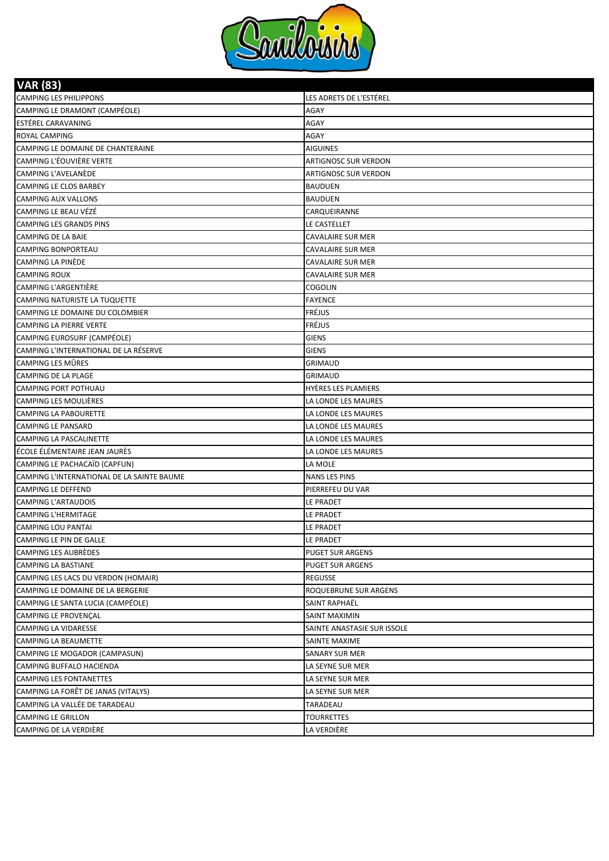

**VAR (83)**

| CAMPING LE DRAMONT (CAMPÉOLE)<br>AGAY<br><b>ESTÉREL CARAVANING</b><br>AGAY<br>ROYAL CAMPING<br>AGAY<br>CAMPING LE DOMAINE DE CHANTERAINE<br><b>AIGUINES</b><br>CAMPING L'ÉOUVIÈRE VERTE<br><b>ARTIGNOSC SUR VERDON</b><br>CAMPING L'AVELANÈDE<br><b>ARTIGNOSC SUR VERDON</b><br><b>CAMPING LE CLOS BARBEY</b><br><b>BAUDUEN</b><br><b>CAMPING AUX VALLONS</b><br><b>BAUDUEN</b><br><b>CAMPING LE BEAU VÉZÉ</b><br>CARQUEIRANNE<br><b>CAMPING LES GRANDS PINS</b><br>LE CASTELLET<br><b>CAMPING DE LA BAIE</b><br>CAVALAIRE SUR MER<br><b>CAMPING BONPORTEAU</b><br>CAVALAIRE SUR MER<br>CAMPING LA PINÈDE<br>CAVALAIRE SUR MER<br><b>CAMPING ROUX</b><br>CAVALAIRE SUR MER<br>CAMPING L'ARGENTIÈRE<br>COGOLIN<br>CAMPING NATURISTE LA TUQUETTE<br><b>FAYENCE</b><br>FRÉJUS<br>CAMPING LE DOMAINE DU COLOMBIER<br>FRÉJUS<br><b>CAMPING LA PIERRE VERTE</b><br>CAMPING EUROSURF (CAMPÉOLE)<br><b>GIENS</b><br>CAMPING L'INTERNATIONAL DE LA RÉSERVE<br><b>GIENS</b><br><b>CAMPING LES MÛRES</b><br><b>GRIMAUD</b><br><b>CAMPING DE LA PLAGE</b><br><b>GRIMAUD</b><br><b>CAMPING PORT POTHUAU</b><br>HYÈRES LES PLAMIERS<br>CAMPING LES MOULIÈRES<br>LA LONDE LES MAURES<br><b>CAMPING LA PABOURETTE</b><br>LA LONDE LES MAURES<br><b>CAMPING LE PANSARD</b><br>LA LONDE LES MAURES<br>CAMPING LA PASCALINETTE<br>LA LONDE LES MAURES<br>ÉCOLE ÉLÉMENTAIRE JEAN JAURÈS<br>LA LONDE LES MAURES<br>CAMPING LE PACHACAÏD (CAPFUN)<br>LA MOLE<br>CAMPING L'INTERNATIONAL DE LA SAINTE BAUME<br>NANS LES PINS<br><b>CAMPING LE DEFFEND</b><br>PIERREFEU DU VAR<br>CAMPING L'ARTAUDOIS<br>LE PRADET<br><b>CAMPING L'HERMITAGE</b><br>LE PRADET<br><b>CAMPING LOU PANTAI</b><br>LE PRADET<br>CAMPING LE PIN DE GALLE<br>LE PRADET<br><b>CAMPING LES AUBRÈDES</b><br><b>PUGET SUR ARGENS</b><br><b>CAMPING LA BASTIANE</b><br>PUGET SUR ARGENS<br>CAMPING LES LACS DU VERDON (HOMAIR)<br><b>REGUSSE</b><br>CAMPING LE DOMAINE DE LA BERGERIE<br>ROQUEBRUNE SUR ARGENS<br>CAMPING LE SANTA LUCIA (CAMPÉOLE)<br>SAINT RAPHAËL<br><b>CAMPING LE PROVENÇAL</b><br>SAINT MAXIMIN<br>CAMPING LA VIDARESSE<br>SAINTE ANASTASIE SUR ISSOLE<br>CAMPING LA BEAUMETTE<br>SAINTE MAXIME<br>CAMPING LE MOGADOR (CAMPASUN)<br><b>SANARY SUR MER</b><br>CAMPING BUFFALO HACIENDA<br>LA SEYNE SUR MER<br><b>CAMPING LES FONTANETTES</b><br>LA SEYNE SUR MER<br>CAMPING LA FORÊT DE JANAS (VITALYS)<br>LA SEYNE SUR MER<br>CAMPING LA VALLÉE DE TARADEAU<br>TARADEAU<br>CAMPING LE GRILLON<br>TOURRETTES<br>CAMPING DE LA VERDIÈRE<br>LA VERDIÈRE | VAK (83)                      |                         |
|-----------------------------------------------------------------------------------------------------------------------------------------------------------------------------------------------------------------------------------------------------------------------------------------------------------------------------------------------------------------------------------------------------------------------------------------------------------------------------------------------------------------------------------------------------------------------------------------------------------------------------------------------------------------------------------------------------------------------------------------------------------------------------------------------------------------------------------------------------------------------------------------------------------------------------------------------------------------------------------------------------------------------------------------------------------------------------------------------------------------------------------------------------------------------------------------------------------------------------------------------------------------------------------------------------------------------------------------------------------------------------------------------------------------------------------------------------------------------------------------------------------------------------------------------------------------------------------------------------------------------------------------------------------------------------------------------------------------------------------------------------------------------------------------------------------------------------------------------------------------------------------------------------------------------------------------------------------------------------------------------------------------------------------------------------------------------------------------------------------------------------------------------------------------------------------------------------------------------------------------------------------------------------------------------------------------------------------------------------------------------------------------------------------------------------------------------------------------------------------------------------------------------|-------------------------------|-------------------------|
|                                                                                                                                                                                                                                                                                                                                                                                                                                                                                                                                                                                                                                                                                                                                                                                                                                                                                                                                                                                                                                                                                                                                                                                                                                                                                                                                                                                                                                                                                                                                                                                                                                                                                                                                                                                                                                                                                                                                                                                                                                                                                                                                                                                                                                                                                                                                                                                                                                                                                                                       | <b>CAMPING LES PHILIPPONS</b> | LES ADRETS DE L'ESTÉREL |
|                                                                                                                                                                                                                                                                                                                                                                                                                                                                                                                                                                                                                                                                                                                                                                                                                                                                                                                                                                                                                                                                                                                                                                                                                                                                                                                                                                                                                                                                                                                                                                                                                                                                                                                                                                                                                                                                                                                                                                                                                                                                                                                                                                                                                                                                                                                                                                                                                                                                                                                       |                               |                         |
|                                                                                                                                                                                                                                                                                                                                                                                                                                                                                                                                                                                                                                                                                                                                                                                                                                                                                                                                                                                                                                                                                                                                                                                                                                                                                                                                                                                                                                                                                                                                                                                                                                                                                                                                                                                                                                                                                                                                                                                                                                                                                                                                                                                                                                                                                                                                                                                                                                                                                                                       |                               |                         |
|                                                                                                                                                                                                                                                                                                                                                                                                                                                                                                                                                                                                                                                                                                                                                                                                                                                                                                                                                                                                                                                                                                                                                                                                                                                                                                                                                                                                                                                                                                                                                                                                                                                                                                                                                                                                                                                                                                                                                                                                                                                                                                                                                                                                                                                                                                                                                                                                                                                                                                                       |                               |                         |
|                                                                                                                                                                                                                                                                                                                                                                                                                                                                                                                                                                                                                                                                                                                                                                                                                                                                                                                                                                                                                                                                                                                                                                                                                                                                                                                                                                                                                                                                                                                                                                                                                                                                                                                                                                                                                                                                                                                                                                                                                                                                                                                                                                                                                                                                                                                                                                                                                                                                                                                       |                               |                         |
|                                                                                                                                                                                                                                                                                                                                                                                                                                                                                                                                                                                                                                                                                                                                                                                                                                                                                                                                                                                                                                                                                                                                                                                                                                                                                                                                                                                                                                                                                                                                                                                                                                                                                                                                                                                                                                                                                                                                                                                                                                                                                                                                                                                                                                                                                                                                                                                                                                                                                                                       |                               |                         |
|                                                                                                                                                                                                                                                                                                                                                                                                                                                                                                                                                                                                                                                                                                                                                                                                                                                                                                                                                                                                                                                                                                                                                                                                                                                                                                                                                                                                                                                                                                                                                                                                                                                                                                                                                                                                                                                                                                                                                                                                                                                                                                                                                                                                                                                                                                                                                                                                                                                                                                                       |                               |                         |
|                                                                                                                                                                                                                                                                                                                                                                                                                                                                                                                                                                                                                                                                                                                                                                                                                                                                                                                                                                                                                                                                                                                                                                                                                                                                                                                                                                                                                                                                                                                                                                                                                                                                                                                                                                                                                                                                                                                                                                                                                                                                                                                                                                                                                                                                                                                                                                                                                                                                                                                       |                               |                         |
|                                                                                                                                                                                                                                                                                                                                                                                                                                                                                                                                                                                                                                                                                                                                                                                                                                                                                                                                                                                                                                                                                                                                                                                                                                                                                                                                                                                                                                                                                                                                                                                                                                                                                                                                                                                                                                                                                                                                                                                                                                                                                                                                                                                                                                                                                                                                                                                                                                                                                                                       |                               |                         |
|                                                                                                                                                                                                                                                                                                                                                                                                                                                                                                                                                                                                                                                                                                                                                                                                                                                                                                                                                                                                                                                                                                                                                                                                                                                                                                                                                                                                                                                                                                                                                                                                                                                                                                                                                                                                                                                                                                                                                                                                                                                                                                                                                                                                                                                                                                                                                                                                                                                                                                                       |                               |                         |
|                                                                                                                                                                                                                                                                                                                                                                                                                                                                                                                                                                                                                                                                                                                                                                                                                                                                                                                                                                                                                                                                                                                                                                                                                                                                                                                                                                                                                                                                                                                                                                                                                                                                                                                                                                                                                                                                                                                                                                                                                                                                                                                                                                                                                                                                                                                                                                                                                                                                                                                       |                               |                         |
|                                                                                                                                                                                                                                                                                                                                                                                                                                                                                                                                                                                                                                                                                                                                                                                                                                                                                                                                                                                                                                                                                                                                                                                                                                                                                                                                                                                                                                                                                                                                                                                                                                                                                                                                                                                                                                                                                                                                                                                                                                                                                                                                                                                                                                                                                                                                                                                                                                                                                                                       |                               |                         |
|                                                                                                                                                                                                                                                                                                                                                                                                                                                                                                                                                                                                                                                                                                                                                                                                                                                                                                                                                                                                                                                                                                                                                                                                                                                                                                                                                                                                                                                                                                                                                                                                                                                                                                                                                                                                                                                                                                                                                                                                                                                                                                                                                                                                                                                                                                                                                                                                                                                                                                                       |                               |                         |
|                                                                                                                                                                                                                                                                                                                                                                                                                                                                                                                                                                                                                                                                                                                                                                                                                                                                                                                                                                                                                                                                                                                                                                                                                                                                                                                                                                                                                                                                                                                                                                                                                                                                                                                                                                                                                                                                                                                                                                                                                                                                                                                                                                                                                                                                                                                                                                                                                                                                                                                       |                               |                         |
|                                                                                                                                                                                                                                                                                                                                                                                                                                                                                                                                                                                                                                                                                                                                                                                                                                                                                                                                                                                                                                                                                                                                                                                                                                                                                                                                                                                                                                                                                                                                                                                                                                                                                                                                                                                                                                                                                                                                                                                                                                                                                                                                                                                                                                                                                                                                                                                                                                                                                                                       |                               |                         |
|                                                                                                                                                                                                                                                                                                                                                                                                                                                                                                                                                                                                                                                                                                                                                                                                                                                                                                                                                                                                                                                                                                                                                                                                                                                                                                                                                                                                                                                                                                                                                                                                                                                                                                                                                                                                                                                                                                                                                                                                                                                                                                                                                                                                                                                                                                                                                                                                                                                                                                                       |                               |                         |
|                                                                                                                                                                                                                                                                                                                                                                                                                                                                                                                                                                                                                                                                                                                                                                                                                                                                                                                                                                                                                                                                                                                                                                                                                                                                                                                                                                                                                                                                                                                                                                                                                                                                                                                                                                                                                                                                                                                                                                                                                                                                                                                                                                                                                                                                                                                                                                                                                                                                                                                       |                               |                         |
|                                                                                                                                                                                                                                                                                                                                                                                                                                                                                                                                                                                                                                                                                                                                                                                                                                                                                                                                                                                                                                                                                                                                                                                                                                                                                                                                                                                                                                                                                                                                                                                                                                                                                                                                                                                                                                                                                                                                                                                                                                                                                                                                                                                                                                                                                                                                                                                                                                                                                                                       |                               |                         |
|                                                                                                                                                                                                                                                                                                                                                                                                                                                                                                                                                                                                                                                                                                                                                                                                                                                                                                                                                                                                                                                                                                                                                                                                                                                                                                                                                                                                                                                                                                                                                                                                                                                                                                                                                                                                                                                                                                                                                                                                                                                                                                                                                                                                                                                                                                                                                                                                                                                                                                                       |                               |                         |
|                                                                                                                                                                                                                                                                                                                                                                                                                                                                                                                                                                                                                                                                                                                                                                                                                                                                                                                                                                                                                                                                                                                                                                                                                                                                                                                                                                                                                                                                                                                                                                                                                                                                                                                                                                                                                                                                                                                                                                                                                                                                                                                                                                                                                                                                                                                                                                                                                                                                                                                       |                               |                         |
|                                                                                                                                                                                                                                                                                                                                                                                                                                                                                                                                                                                                                                                                                                                                                                                                                                                                                                                                                                                                                                                                                                                                                                                                                                                                                                                                                                                                                                                                                                                                                                                                                                                                                                                                                                                                                                                                                                                                                                                                                                                                                                                                                                                                                                                                                                                                                                                                                                                                                                                       |                               |                         |
|                                                                                                                                                                                                                                                                                                                                                                                                                                                                                                                                                                                                                                                                                                                                                                                                                                                                                                                                                                                                                                                                                                                                                                                                                                                                                                                                                                                                                                                                                                                                                                                                                                                                                                                                                                                                                                                                                                                                                                                                                                                                                                                                                                                                                                                                                                                                                                                                                                                                                                                       |                               |                         |
|                                                                                                                                                                                                                                                                                                                                                                                                                                                                                                                                                                                                                                                                                                                                                                                                                                                                                                                                                                                                                                                                                                                                                                                                                                                                                                                                                                                                                                                                                                                                                                                                                                                                                                                                                                                                                                                                                                                                                                                                                                                                                                                                                                                                                                                                                                                                                                                                                                                                                                                       |                               |                         |
|                                                                                                                                                                                                                                                                                                                                                                                                                                                                                                                                                                                                                                                                                                                                                                                                                                                                                                                                                                                                                                                                                                                                                                                                                                                                                                                                                                                                                                                                                                                                                                                                                                                                                                                                                                                                                                                                                                                                                                                                                                                                                                                                                                                                                                                                                                                                                                                                                                                                                                                       |                               |                         |
|                                                                                                                                                                                                                                                                                                                                                                                                                                                                                                                                                                                                                                                                                                                                                                                                                                                                                                                                                                                                                                                                                                                                                                                                                                                                                                                                                                                                                                                                                                                                                                                                                                                                                                                                                                                                                                                                                                                                                                                                                                                                                                                                                                                                                                                                                                                                                                                                                                                                                                                       |                               |                         |
|                                                                                                                                                                                                                                                                                                                                                                                                                                                                                                                                                                                                                                                                                                                                                                                                                                                                                                                                                                                                                                                                                                                                                                                                                                                                                                                                                                                                                                                                                                                                                                                                                                                                                                                                                                                                                                                                                                                                                                                                                                                                                                                                                                                                                                                                                                                                                                                                                                                                                                                       |                               |                         |
|                                                                                                                                                                                                                                                                                                                                                                                                                                                                                                                                                                                                                                                                                                                                                                                                                                                                                                                                                                                                                                                                                                                                                                                                                                                                                                                                                                                                                                                                                                                                                                                                                                                                                                                                                                                                                                                                                                                                                                                                                                                                                                                                                                                                                                                                                                                                                                                                                                                                                                                       |                               |                         |
|                                                                                                                                                                                                                                                                                                                                                                                                                                                                                                                                                                                                                                                                                                                                                                                                                                                                                                                                                                                                                                                                                                                                                                                                                                                                                                                                                                                                                                                                                                                                                                                                                                                                                                                                                                                                                                                                                                                                                                                                                                                                                                                                                                                                                                                                                                                                                                                                                                                                                                                       |                               |                         |
|                                                                                                                                                                                                                                                                                                                                                                                                                                                                                                                                                                                                                                                                                                                                                                                                                                                                                                                                                                                                                                                                                                                                                                                                                                                                                                                                                                                                                                                                                                                                                                                                                                                                                                                                                                                                                                                                                                                                                                                                                                                                                                                                                                                                                                                                                                                                                                                                                                                                                                                       |                               |                         |
|                                                                                                                                                                                                                                                                                                                                                                                                                                                                                                                                                                                                                                                                                                                                                                                                                                                                                                                                                                                                                                                                                                                                                                                                                                                                                                                                                                                                                                                                                                                                                                                                                                                                                                                                                                                                                                                                                                                                                                                                                                                                                                                                                                                                                                                                                                                                                                                                                                                                                                                       |                               |                         |
|                                                                                                                                                                                                                                                                                                                                                                                                                                                                                                                                                                                                                                                                                                                                                                                                                                                                                                                                                                                                                                                                                                                                                                                                                                                                                                                                                                                                                                                                                                                                                                                                                                                                                                                                                                                                                                                                                                                                                                                                                                                                                                                                                                                                                                                                                                                                                                                                                                                                                                                       |                               |                         |
|                                                                                                                                                                                                                                                                                                                                                                                                                                                                                                                                                                                                                                                                                                                                                                                                                                                                                                                                                                                                                                                                                                                                                                                                                                                                                                                                                                                                                                                                                                                                                                                                                                                                                                                                                                                                                                                                                                                                                                                                                                                                                                                                                                                                                                                                                                                                                                                                                                                                                                                       |                               |                         |
|                                                                                                                                                                                                                                                                                                                                                                                                                                                                                                                                                                                                                                                                                                                                                                                                                                                                                                                                                                                                                                                                                                                                                                                                                                                                                                                                                                                                                                                                                                                                                                                                                                                                                                                                                                                                                                                                                                                                                                                                                                                                                                                                                                                                                                                                                                                                                                                                                                                                                                                       |                               |                         |
|                                                                                                                                                                                                                                                                                                                                                                                                                                                                                                                                                                                                                                                                                                                                                                                                                                                                                                                                                                                                                                                                                                                                                                                                                                                                                                                                                                                                                                                                                                                                                                                                                                                                                                                                                                                                                                                                                                                                                                                                                                                                                                                                                                                                                                                                                                                                                                                                                                                                                                                       |                               |                         |
|                                                                                                                                                                                                                                                                                                                                                                                                                                                                                                                                                                                                                                                                                                                                                                                                                                                                                                                                                                                                                                                                                                                                                                                                                                                                                                                                                                                                                                                                                                                                                                                                                                                                                                                                                                                                                                                                                                                                                                                                                                                                                                                                                                                                                                                                                                                                                                                                                                                                                                                       |                               |                         |
|                                                                                                                                                                                                                                                                                                                                                                                                                                                                                                                                                                                                                                                                                                                                                                                                                                                                                                                                                                                                                                                                                                                                                                                                                                                                                                                                                                                                                                                                                                                                                                                                                                                                                                                                                                                                                                                                                                                                                                                                                                                                                                                                                                                                                                                                                                                                                                                                                                                                                                                       |                               |                         |
|                                                                                                                                                                                                                                                                                                                                                                                                                                                                                                                                                                                                                                                                                                                                                                                                                                                                                                                                                                                                                                                                                                                                                                                                                                                                                                                                                                                                                                                                                                                                                                                                                                                                                                                                                                                                                                                                                                                                                                                                                                                                                                                                                                                                                                                                                                                                                                                                                                                                                                                       |                               |                         |
|                                                                                                                                                                                                                                                                                                                                                                                                                                                                                                                                                                                                                                                                                                                                                                                                                                                                                                                                                                                                                                                                                                                                                                                                                                                                                                                                                                                                                                                                                                                                                                                                                                                                                                                                                                                                                                                                                                                                                                                                                                                                                                                                                                                                                                                                                                                                                                                                                                                                                                                       |                               |                         |
|                                                                                                                                                                                                                                                                                                                                                                                                                                                                                                                                                                                                                                                                                                                                                                                                                                                                                                                                                                                                                                                                                                                                                                                                                                                                                                                                                                                                                                                                                                                                                                                                                                                                                                                                                                                                                                                                                                                                                                                                                                                                                                                                                                                                                                                                                                                                                                                                                                                                                                                       |                               |                         |
|                                                                                                                                                                                                                                                                                                                                                                                                                                                                                                                                                                                                                                                                                                                                                                                                                                                                                                                                                                                                                                                                                                                                                                                                                                                                                                                                                                                                                                                                                                                                                                                                                                                                                                                                                                                                                                                                                                                                                                                                                                                                                                                                                                                                                                                                                                                                                                                                                                                                                                                       |                               |                         |
|                                                                                                                                                                                                                                                                                                                                                                                                                                                                                                                                                                                                                                                                                                                                                                                                                                                                                                                                                                                                                                                                                                                                                                                                                                                                                                                                                                                                                                                                                                                                                                                                                                                                                                                                                                                                                                                                                                                                                                                                                                                                                                                                                                                                                                                                                                                                                                                                                                                                                                                       |                               |                         |
|                                                                                                                                                                                                                                                                                                                                                                                                                                                                                                                                                                                                                                                                                                                                                                                                                                                                                                                                                                                                                                                                                                                                                                                                                                                                                                                                                                                                                                                                                                                                                                                                                                                                                                                                                                                                                                                                                                                                                                                                                                                                                                                                                                                                                                                                                                                                                                                                                                                                                                                       |                               |                         |
|                                                                                                                                                                                                                                                                                                                                                                                                                                                                                                                                                                                                                                                                                                                                                                                                                                                                                                                                                                                                                                                                                                                                                                                                                                                                                                                                                                                                                                                                                                                                                                                                                                                                                                                                                                                                                                                                                                                                                                                                                                                                                                                                                                                                                                                                                                                                                                                                                                                                                                                       |                               |                         |
|                                                                                                                                                                                                                                                                                                                                                                                                                                                                                                                                                                                                                                                                                                                                                                                                                                                                                                                                                                                                                                                                                                                                                                                                                                                                                                                                                                                                                                                                                                                                                                                                                                                                                                                                                                                                                                                                                                                                                                                                                                                                                                                                                                                                                                                                                                                                                                                                                                                                                                                       |                               |                         |
|                                                                                                                                                                                                                                                                                                                                                                                                                                                                                                                                                                                                                                                                                                                                                                                                                                                                                                                                                                                                                                                                                                                                                                                                                                                                                                                                                                                                                                                                                                                                                                                                                                                                                                                                                                                                                                                                                                                                                                                                                                                                                                                                                                                                                                                                                                                                                                                                                                                                                                                       |                               |                         |
|                                                                                                                                                                                                                                                                                                                                                                                                                                                                                                                                                                                                                                                                                                                                                                                                                                                                                                                                                                                                                                                                                                                                                                                                                                                                                                                                                                                                                                                                                                                                                                                                                                                                                                                                                                                                                                                                                                                                                                                                                                                                                                                                                                                                                                                                                                                                                                                                                                                                                                                       |                               |                         |
|                                                                                                                                                                                                                                                                                                                                                                                                                                                                                                                                                                                                                                                                                                                                                                                                                                                                                                                                                                                                                                                                                                                                                                                                                                                                                                                                                                                                                                                                                                                                                                                                                                                                                                                                                                                                                                                                                                                                                                                                                                                                                                                                                                                                                                                                                                                                                                                                                                                                                                                       |                               |                         |
|                                                                                                                                                                                                                                                                                                                                                                                                                                                                                                                                                                                                                                                                                                                                                                                                                                                                                                                                                                                                                                                                                                                                                                                                                                                                                                                                                                                                                                                                                                                                                                                                                                                                                                                                                                                                                                                                                                                                                                                                                                                                                                                                                                                                                                                                                                                                                                                                                                                                                                                       |                               |                         |
|                                                                                                                                                                                                                                                                                                                                                                                                                                                                                                                                                                                                                                                                                                                                                                                                                                                                                                                                                                                                                                                                                                                                                                                                                                                                                                                                                                                                                                                                                                                                                                                                                                                                                                                                                                                                                                                                                                                                                                                                                                                                                                                                                                                                                                                                                                                                                                                                                                                                                                                       |                               |                         |
|                                                                                                                                                                                                                                                                                                                                                                                                                                                                                                                                                                                                                                                                                                                                                                                                                                                                                                                                                                                                                                                                                                                                                                                                                                                                                                                                                                                                                                                                                                                                                                                                                                                                                                                                                                                                                                                                                                                                                                                                                                                                                                                                                                                                                                                                                                                                                                                                                                                                                                                       |                               |                         |
|                                                                                                                                                                                                                                                                                                                                                                                                                                                                                                                                                                                                                                                                                                                                                                                                                                                                                                                                                                                                                                                                                                                                                                                                                                                                                                                                                                                                                                                                                                                                                                                                                                                                                                                                                                                                                                                                                                                                                                                                                                                                                                                                                                                                                                                                                                                                                                                                                                                                                                                       |                               |                         |